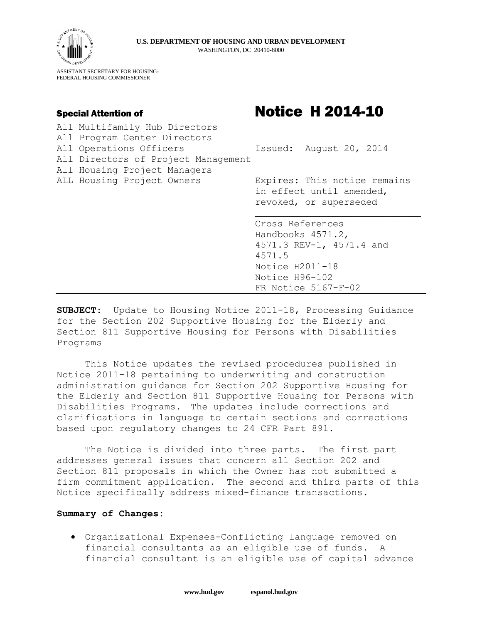

ASSISTANT SECRETARY FOR HOUSING-FEDERAL HOUSING COMMISSIONER

# Special Attention of **Notice H 2014-10**

|  | All Multifamily Hub Directors       |                                                                                    |  |
|--|-------------------------------------|------------------------------------------------------------------------------------|--|
|  | All Program Center Directors        |                                                                                    |  |
|  | All Operations Officers             | Issued: August 20, 2014                                                            |  |
|  | All Directors of Project Management |                                                                                    |  |
|  | All Housing Project Managers        |                                                                                    |  |
|  | ALL Housing Project Owners          | Expires: This notice remains<br>in effect until amended,<br>revoked, or superseded |  |
|  |                                     | Cross References                                                                   |  |
|  |                                     | Handbooks 4571.2,                                                                  |  |
|  |                                     | 4571.3 REV-1, 4571.4 and                                                           |  |
|  |                                     | 4571.5                                                                             |  |
|  |                                     | Notice H2011-18                                                                    |  |
|  |                                     |                                                                                    |  |
|  |                                     | Notice H96-102                                                                     |  |

**SUBJECT:** Update to Housing Notice 2011-18, Processing Guidance for the Section 202 Supportive Housing for the Elderly and Section 811 Supportive Housing for Persons with Disabilities Programs

This Notice updates the revised procedures published in Notice 2011-18 pertaining to underwriting and construction administration guidance for Section 202 Supportive Housing for the Elderly and Section 811 Supportive Housing for Persons with Disabilities Programs. The updates include corrections and clarifications in language to certain sections and corrections based upon regulatory changes to 24 CFR Part 891.

 The Notice is divided into three parts. The first part addresses general issues that concern all Section 202 and Section 811 proposals in which the Owner has not submitted a firm commitment application. The second and third parts of this Notice specifically address mixed-finance transactions.

#### **Summary of Changes:**

 Organizational Expenses-Conflicting language removed on financial consultants as an eligible use of funds. A financial consultant is an eligible use of capital advance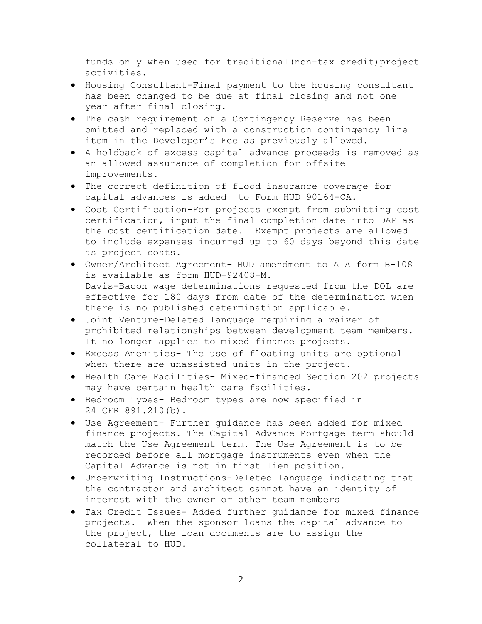funds only when used for traditional(non-tax credit)project activities.

- Housing Consultant-Final payment to the housing consultant has been changed to be due at final closing and not one year after final closing.
- The cash requirement of a Contingency Reserve has been omitted and replaced with a construction contingency line item in the Developer's Fee as previously allowed.
- A holdback of excess capital advance proceeds is removed as an allowed assurance of completion for offsite improvements.
- The correct definition of flood insurance coverage for capital advances is added to Form HUD 90164-CA.
- Cost Certification-For projects exempt from submitting cost certification, input the final completion date into DAP as the cost certification date. Exempt projects are allowed to include expenses incurred up to 60 days beyond this date as project costs.
- Owner/Architect Agreement- HUD amendment to AIA form B-108 is available as form HUD-92408-M. Davis-Bacon wage determinations requested from the DOL are effective for 180 days from date of the determination when there is no published determination applicable.
- Joint Venture-Deleted language requiring a waiver of prohibited relationships between development team members. It no longer applies to mixed finance projects.
- Excess Amenities- The use of floating units are optional when there are unassisted units in the project.
- Health Care Facilities- Mixed-financed Section 202 projects may have certain health care facilities.
- Bedroom Types- Bedroom types are now specified in 24 CFR 891.210(b).
- Use Agreement- Further guidance has been added for mixed finance projects. The Capital Advance Mortgage term should match the Use Agreement term. The Use Agreement is to be recorded before all mortgage instruments even when the Capital Advance is not in first lien position.
- Underwriting Instructions-Deleted language indicating that the contractor and architect cannot have an identity of interest with the owner or other team members
- Tax Credit Issues- Added further guidance for mixed finance projects. When the sponsor loans the capital advance to the project, the loan documents are to assign the collateral to HUD.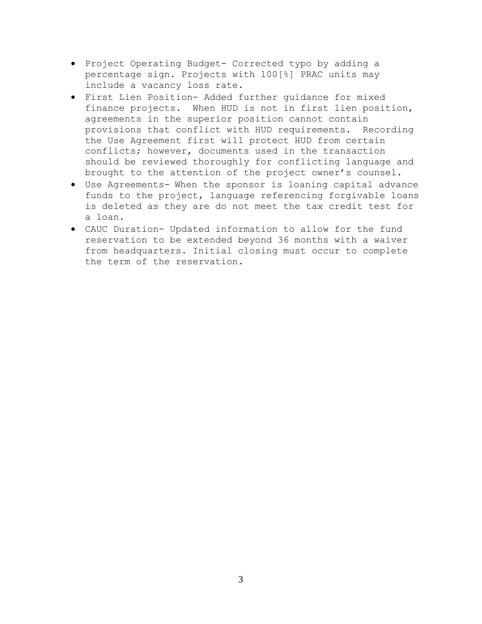- Project Operating Budget- Corrected typo by adding a percentage sign. Projects with 100[%] PRAC units may include a vacancy loss rate.
- First Lien Position- Added further guidance for mixed finance projects. When HUD is not in first lien position, agreements in the superior position cannot contain provisions that conflict with HUD requirements. Recording the Use Agreement first will protect HUD from certain conflicts; however, documents used in the transaction should be reviewed thoroughly for conflicting language and brought to the attention of the project owner's counsel.
- Use Agreements- When the sponsor is loaning capital advance funds to the project, language referencing forgivable loans is deleted as they are do not meet the tax credit test for a loan.
- CAUC Duration- Updated information to allow for the fund reservation to be extended beyond 36 months with a waiver from headquarters. Initial closing must occur to complete the term of the reservation.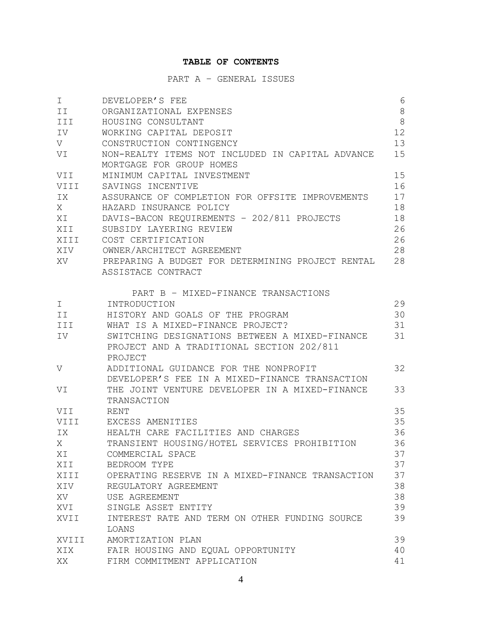# **TABLE OF CONTENTS**

PART A – GENERAL ISSUES

| I.    | DEVELOPER'S FEE                                   | 6       |
|-------|---------------------------------------------------|---------|
| II    | ORGANIZATIONAL EXPENSES                           | $\,8\,$ |
| III   | HOUSING CONSULTANT                                | 8       |
| IV    | WORKING CAPITAL DEPOSIT                           | 12      |
| V     | CONSTRUCTION CONTINGENCY                          | 13      |
| VI    | NON-REALTY ITEMS NOT INCLUDED IN CAPITAL ADVANCE  | 15      |
|       | MORTGAGE FOR GROUP HOMES                          |         |
| VII   | MINIMUM CAPITAL INVESTMENT                        | 15      |
| VIII  | SAVINGS INCENTIVE                                 | 16      |
| IX.   | ASSURANCE OF COMPLETION FOR OFFSITE IMPROVEMENTS  | 17      |
| X     | HAZARD INSURANCE POLICY                           | 18      |
| ΧI    | DAVIS-BACON REQUIREMENTS - 202/811 PROJECTS       | 18      |
| XII   | SUBSIDY LAYERING REVIEW                           | 26      |
| XIII  | COST CERTIFICATION                                | 26      |
| XIV   | OWNER/ARCHITECT AGREEMENT                         | 28      |
| XV.   | PREPARING A BUDGET FOR DETERMINING PROJECT RENTAL | 28      |
|       | ASSISTACE CONTRACT                                |         |
|       | PART B - MIXED-FINANCE TRANSACTIONS               |         |
| I.    | INTRODUCTION                                      | 29      |
| ΙI    | HISTORY AND GOALS OF THE PROGRAM                  | 30      |
| III   | WHAT IS A MIXED-FINANCE PROJECT?                  | 31      |
| IV    | SWITCHING DESIGNATIONS BETWEEN A MIXED-FINANCE    | 31      |
|       | PROJECT AND A TRADITIONAL SECTION 202/811         |         |
|       | PROJECT                                           |         |
| V     | ADDITIONAL GUIDANCE FOR THE NONPROFIT             | 32      |
|       | DEVELOPER'S FEE IN A MIXED-FINANCE TRANSACTION    |         |
| VI    | THE JOINT VENTURE DEVELOPER IN A MIXED-FINANCE    | 33      |
|       | TRANSACTION                                       |         |
| VII   | RENT                                              | 35      |
| VIII  | EXCESS AMENITIES                                  | 35      |
| IX    | HEALTH CARE FACILITIES AND CHARGES                | 36      |
| X     | TRANSIENT HOUSING/HOTEL SERVICES PROHIBITION      | 36      |
| ΧI    | COMMERCIAL SPACE                                  | 37      |
| XII   | BEDROOM TYPE                                      | 37      |
| XIII  | OPERATING RESERVE IN A MIXED-FINANCE TRANSACTION  | 37      |
| XIV   | REGULATORY AGREEMENT                              | 38      |
| XV    | USE AGREEMENT                                     | 38      |
| XVI   | SINGLE ASSET ENTITY                               | 39      |
| XVII  | INTEREST RATE AND TERM ON OTHER FUNDING SOURCE    | 39      |
|       | LOANS                                             |         |
| XVIII | AMORTIZATION PLAN                                 | 39      |
| XIX   | FAIR HOUSING AND EQUAL OPPORTUNITY                | 40      |
| XX    | FIRM COMMITMENT APPLICATION                       | 41      |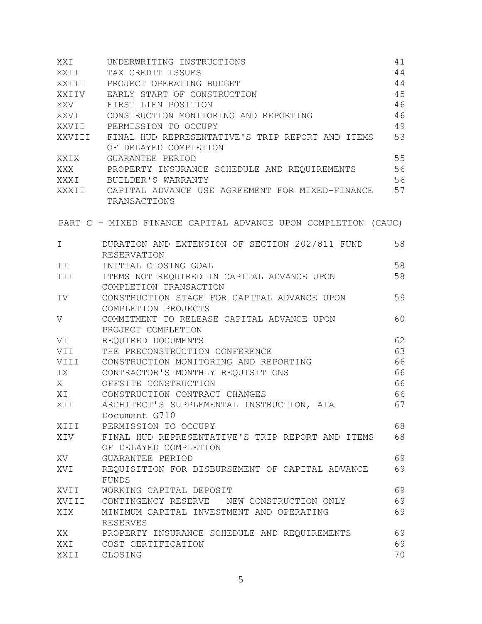| XXI                  | UNDERWRITING INSTRUCTIONS                                     | 41 |
|----------------------|---------------------------------------------------------------|----|
| XXII                 | TAX CREDIT ISSUES                                             | 44 |
|                      | XXIII PROJECT OPERATING BUDGET                                | 44 |
|                      | XXIIV EARLY START OF CONSTRUCTION                             | 45 |
|                      | XXV FIRST LIEN POSITION                                       | 46 |
|                      | XXVI CONSTRUCTION MONITORING AND REPORTING                    | 46 |
|                      | XXVII PERMISSION TO OCCUPY                                    | 49 |
|                      | XXVIII FINAL HUD REPRESENTATIVE'S TRIP REPORT AND ITEMS       | 53 |
|                      | OF DELAYED COMPLETION                                         |    |
| XXIX                 | GUARANTEE PERIOD                                              | 55 |
| XXX                  | PROPERTY INSURANCE SCHEDULE AND REQUIREMENTS                  | 56 |
|                      | XXXI BUILDER'S WARRANTY                                       | 56 |
|                      | XXXII     CAPITAL ADVANCE USE AGREEMENT FOR MIXED-FINANCE     | 57 |
|                      | TRANSACTIONS                                                  |    |
|                      | PART C - MIXED FINANCE CAPITAL ADVANCE UPON COMPLETION (CAUC) |    |
|                      |                                                               |    |
| I.                   | DURATION AND EXTENSION OF SECTION 202/811 FUND                | 58 |
|                      | RESERVATION                                                   |    |
| ΙI                   | INITIAL CLOSING GOAL                                          | 58 |
| III <b>Alexander</b> | ITEMS NOT REQUIRED IN CAPITAL ADVANCE UPON                    | 58 |
|                      | COMPLETION TRANSACTION                                        |    |
| IV                   | CONSTRUCTION STAGE FOR CAPITAL ADVANCE UPON                   | 59 |
|                      | COMPLETION PROJECTS                                           |    |
| V                    | COMMITMENT TO RELEASE CAPITAL ADVANCE UPON                    | 60 |
|                      | PROJECT COMPLETION                                            |    |
| VI                   | REQUIRED DOCUMENTS                                            | 62 |
| VII                  | THE PRECONSTRUCTION CONFERENCE                                | 63 |
| VIII                 | CONSTRUCTION MONITORING AND REPORTING                         | 66 |
| IX                   | CONTRACTOR'S MONTHLY REQUISITIONS                             | 66 |
| X                    | OFFSITE CONSTRUCTION                                          | 66 |
| ΧI                   | CONSTRUCTION CONTRACT CHANGES                                 | 66 |
| XII                  | ARCHITECT'S SUPPLEMENTAL INSTRUCTION, AIA                     | 67 |
|                      | Document G710                                                 |    |
| XIII                 | PERMISSION TO OCCUPY                                          | 68 |
| XIV                  | FINAL HUD REPRESENTATIVE'S TRIP REPORT AND ITEMS              | 68 |
|                      | OF DELAYED COMPLETION                                         |    |
| XV                   | GUARANTEE PERIOD                                              | 69 |
| XVI                  | REQUISITION FOR DISBURSEMENT OF CAPITAL ADVANCE               | 69 |
|                      | FUNDS                                                         |    |
| XVII                 | WORKING CAPITAL DEPOSIT                                       | 69 |
| XVIII                | CONTINGENCY RESERVE - NEW CONSTRUCTION ONLY                   | 69 |
| XIX                  | MINIMUM CAPITAL INVESTMENT AND OPERATING                      | 69 |
|                      | RESERVES                                                      |    |
| XX                   | PROPERTY INSURANCE SCHEDULE AND REQUIREMENTS                  | 69 |
| XXI                  | COST CERTIFICATION                                            | 69 |
| XXII                 | CLOSING                                                       | 70 |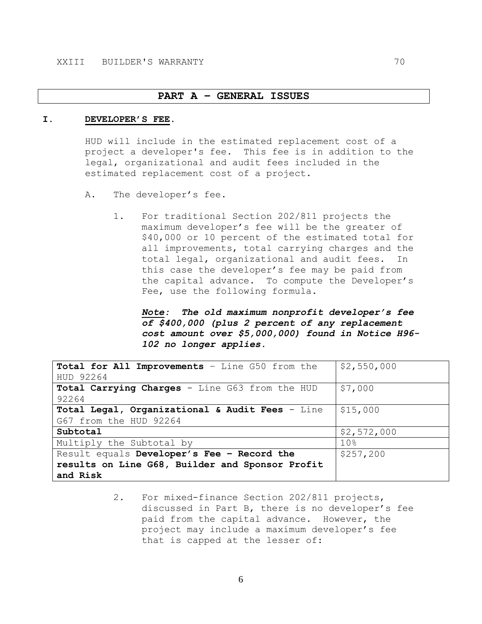#### **PART A – GENERAL ISSUES**

#### **I. DEVELOPER'S FEE.**

HUD will include in the estimated replacement cost of a project a developer's fee. This fee is in addition to the legal, organizational and audit fees included in the estimated replacement cost of a project.

- A. The developer's fee.
	- 1. For traditional Section 202/811 projects the maximum developer's fee will be the greater of \$40,000 or 10 percent of the estimated total for all improvements, total carrying charges and the total legal, organizational and audit fees. In this case the developer's fee may be paid from the capital advance. To compute the Developer's Fee, use the following formula.

*Note: The old maximum nonprofit developer's fee of \$400,000 (plus 2 percent of any replacement cost amount over \$5,000,000) found in Notice H96- 102 no longer applies.*

| Total for All Improvements - Line G50 from the  | \$2,550,000     |
|-------------------------------------------------|-----------------|
| HUD 92264                                       |                 |
| Total Carrying Charges - Line G63 from the HUD  | \$7,000         |
| 92264                                           |                 |
| Total Legal, Organizational & Audit Fees - Line | \$15,000        |
| G67 from the HUD 92264                          |                 |
| Subtotal                                        | \$2,572,000     |
| Multiply the Subtotal by                        | 10 <sup>°</sup> |
| Result equals Developer's Fee - Record the      | \$257,200       |
| results on Line G68, Builder and Sponsor Profit |                 |
| and Risk                                        |                 |

2. For mixed-finance Section 202/811 projects, discussed in Part B, there is no developer's fee paid from the capital advance. However, the project may include a maximum developer's fee that is capped at the lesser of: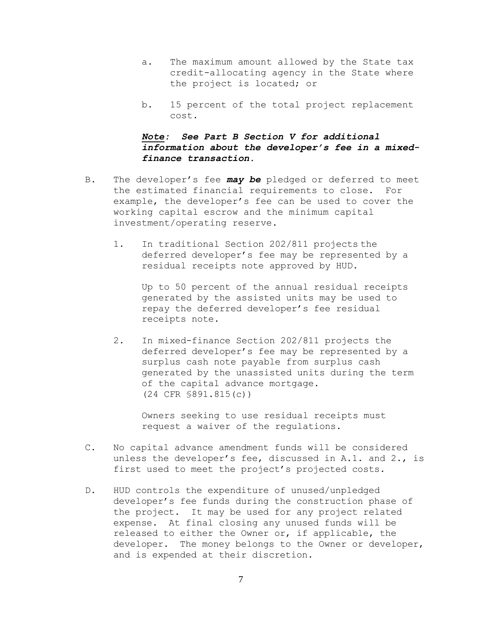- a. The maximum amount allowed by the State tax credit-allocating agency in the State where the project is located; or
- b. 15 percent of the total project replacement cost.

# *Note: See Part B Section V for additional information about the developer's fee in a mixedfinance transaction.*

- B. The developer's fee *may be* pledged or deferred to meet the estimated financial requirements to close. For example, the developer's fee can be used to cover the working capital escrow and the minimum capital investment/operating reserve.
	- 1. In traditional Section 202/811 projects the deferred developer's fee may be represented by a residual receipts note approved by HUD.

Up to 50 percent of the annual residual receipts generated by the assisted units may be used to repay the deferred developer's fee residual receipts note.

2. In mixed-finance Section 202/811 projects the deferred developer's fee may be represented by a surplus cash note payable from surplus cash generated by the unassisted units during the term of the capital advance mortgage. (24 CFR §891.815(c))

Owners seeking to use residual receipts must request a waiver of the regulations.

- C. No capital advance amendment funds will be considered unless the developer's fee, discussed in A.1. and 2., is first used to meet the project's projected costs.
- D. HUD controls the expenditure of unused/unpledged developer's fee funds during the construction phase of the project. It may be used for any project related expense. At final closing any unused funds will be released to either the Owner or, if applicable, the developer. The money belongs to the Owner or developer, and is expended at their discretion.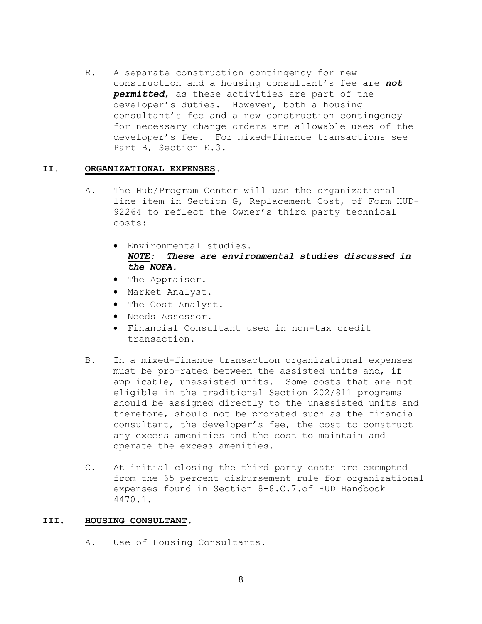E. A separate construction contingency for new construction and a housing consultant's fee are *not permitted*, as these activities are part of the developer's duties. However, both a housing consultant's fee and a new construction contingency for necessary change orders are allowable uses of the developer's fee. For mixed-finance transactions see Part B, Section E.3.

# **II. ORGANIZATIONAL EXPENSES.**

- A. The Hub/Program Center will use the organizational line item in Section G, Replacement Cost, of Form HUD-92264 to reflect the Owner's third party technical costs:
	- Environmental studies. *NOTE: These are environmental studies discussed in the NOFA.*
	- The Appraiser.
	- Market Analyst.
	- The Cost Analyst.
	- Needs Assessor.
	- Financial Consultant used in non-tax credit transaction.
- B. In a mixed-finance transaction organizational expenses must be pro-rated between the assisted units and, if applicable, unassisted units. Some costs that are not eligible in the traditional Section 202/811 programs should be assigned directly to the unassisted units and therefore, should not be prorated such as the financial consultant, the developer's fee, the cost to construct any excess amenities and the cost to maintain and operate the excess amenities.
- C. At initial closing the third party costs are exempted from the 65 percent disbursement rule for organizational expenses found in Section 8-8.C.7.of HUD Handbook 4470.1.

# **III. HOUSING CONSULTANT.**

A. Use of Housing Consultants.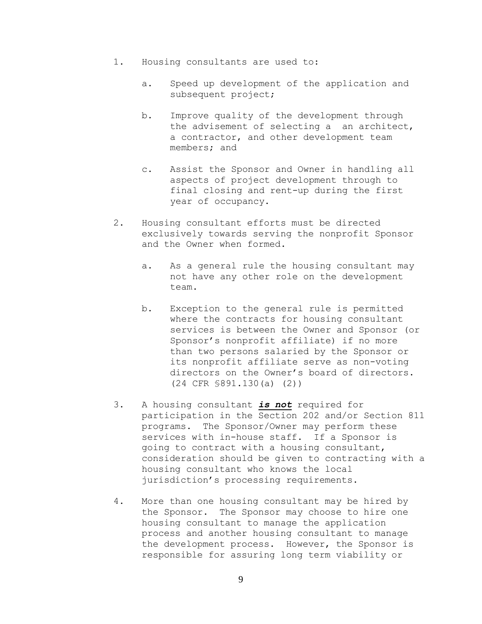- 1. Housing consultants are used to:
	- a. Speed up development of the application and subsequent project;
	- b. Improve quality of the development through the advisement of selecting a an architect, a contractor, and other development team members; and
	- c. Assist the Sponsor and Owner in handling all aspects of project development through to final closing and rent-up during the first year of occupancy.
- 2. Housing consultant efforts must be directed exclusively towards serving the nonprofit Sponsor and the Owner when formed.
	- a. As a general rule the housing consultant may not have any other role on the development team.
	- b. Exception to the general rule is permitted where the contracts for housing consultant services is between the Owner and Sponsor (or Sponsor's nonprofit affiliate) if no more than two persons salaried by the Sponsor or its nonprofit affiliate serve as non-voting directors on the Owner's board of directors. (24 CFR §891.130(a) (2))
- 3. A housing consultant *is not* required for participation in the Section 202 and/or Section 811 programs. The Sponsor/Owner may perform these services with in-house staff. If a Sponsor is going to contract with a housing consultant, consideration should be given to contracting with a housing consultant who knows the local jurisdiction's processing requirements.
- 4. More than one housing consultant may be hired by the Sponsor. The Sponsor may choose to hire one housing consultant to manage the application process and another housing consultant to manage the development process. However, the Sponsor is responsible for assuring long term viability or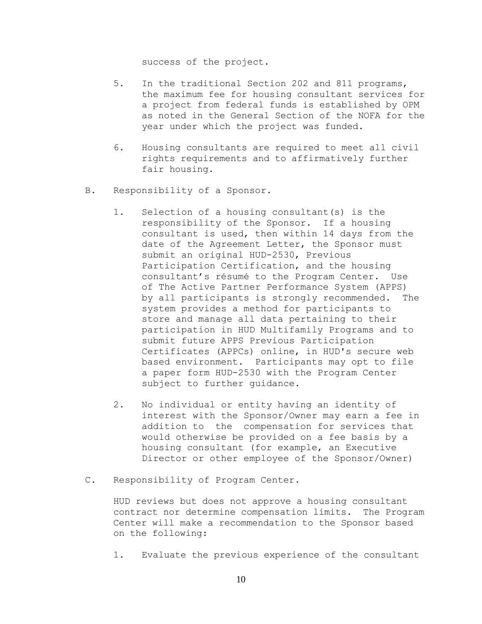success of the project.

- 5. In the traditional Section 202 and 811 programs, the maximum fee for housing consultant services for a project from federal funds is established by OPM as noted in the General Section of the NOFA for the year under which the project was funded.
- 6. Housing consultants are required to meet all civil rights requirements and to affirmatively further fair housing.
- B. Responsibility of a Sponsor.
	- 1. Selection of a housing consultant(s) is the responsibility of the Sponsor. If a housing consultant is used, then within 14 days from the date of the Agreement Letter, the Sponsor must submit an original HUD-2530, Previous Participation Certification, and the housing consultant's résumé to the Program Center. Use of The Active Partner Performance System (APPS) by all participants is strongly recommended. The system provides a method for participants to store and manage all data pertaining to their participation in HUD Multifamily Programs and to submit future APPS Previous Participation Certificates (APPCs) online, in HUD's secure web based environment. Participants may opt to file a paper form HUD-2530 with the Program Center subject to further guidance.
	- 2. No individual or entity having an identity of interest with the Sponsor/Owner may earn a fee in addition to the compensation for services that would otherwise be provided on a fee basis by a housing consultant (for example, an Executive Director or other employee of the Sponsor/Owner)
- C. Responsibility of Program Center.

HUD reviews but does not approve a housing consultant contract nor determine compensation limits. The Program Center will make a recommendation to the Sponsor based on the following:

1. Evaluate the previous experience of the consultant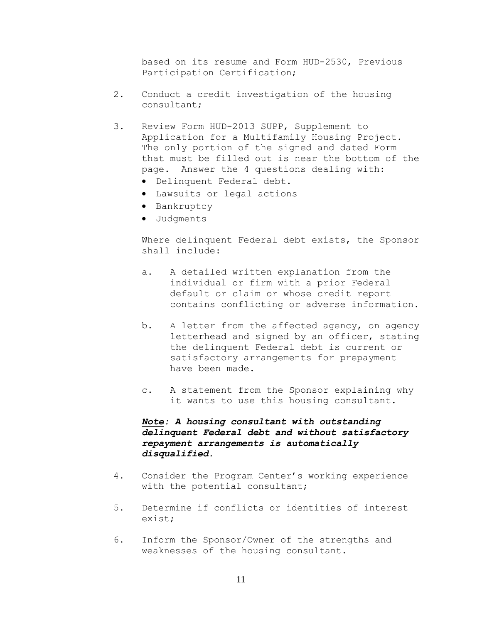based on its resume and Form HUD-2530, Previous Participation Certification;

- 2. Conduct a credit investigation of the housing consultant;
- 3. Review Form HUD-2013 SUPP, Supplement to Application for a Multifamily Housing Project. The only portion of the signed and dated Form that must be filled out is near the bottom of the page. Answer the 4 questions dealing with:
	- Delinquent Federal debt.
	- Lawsuits or legal actions
	- **•** Bankruptcy
	- Judgments

Where delinquent Federal debt exists, the Sponsor shall include:

- a. A detailed written explanation from the individual or firm with a prior Federal default or claim or whose credit report contains conflicting or adverse information.
- b. A letter from the affected agency, on agency letterhead and signed by an officer, stating the delinquent Federal debt is current or satisfactory arrangements for prepayment have been made.
- c. A statement from the Sponsor explaining why it wants to use this housing consultant.

# *Note: A housing consultant with outstanding delinquent Federal debt and without satisfactory repayment arrangements is automatically disqualified.*

- 4. Consider the Program Center's working experience with the potential consultant;
- 5. Determine if conflicts or identities of interest exist;
- 6. Inform the Sponsor/Owner of the strengths and weaknesses of the housing consultant.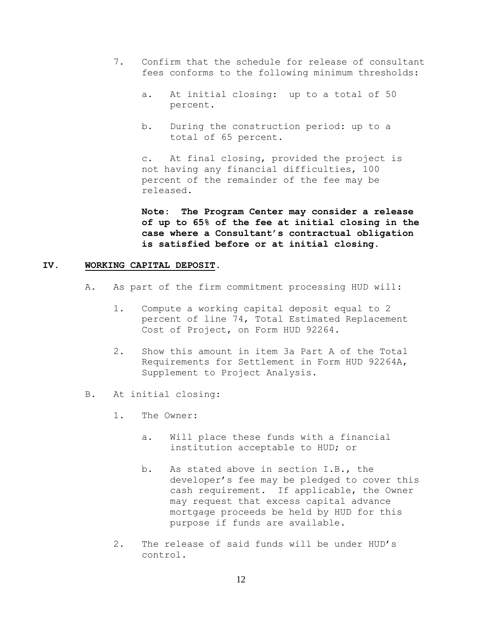- 7. Confirm that the schedule for release of consultant fees conforms to the following minimum thresholds:
	- a. At initial closing: up to a total of 50 percent.
	- b. During the construction period: up to a total of 65 percent.

c. At final closing, provided the project is not having any financial difficulties, 100 percent of the remainder of the fee may be released.

**Note: The Program Center may consider a release of up to 65% of the fee at initial closing in the case where a Consultant's contractual obligation is satisfied before or at initial closing**.

#### **IV. WORKING CAPITAL DEPOSIT.**

- A. As part of the firm commitment processing HUD will:
	- 1. Compute a working capital deposit equal to 2 percent of line 74, Total Estimated Replacement Cost of Project, on Form HUD 92264.
	- 2. Show this amount in item 3a Part A of the Total Requirements for Settlement in Form HUD 92264A, Supplement to Project Analysis.
- B. At initial closing:
	- 1. The Owner:
		- a. Will place these funds with a financial institution acceptable to HUD; or
		- b. As stated above in section I.B., the developer's fee may be pledged to cover this cash requirement. If applicable, the Owner may request that excess capital advance mortgage proceeds be held by HUD for this purpose if funds are available.
	- 2. The release of said funds will be under HUD's control.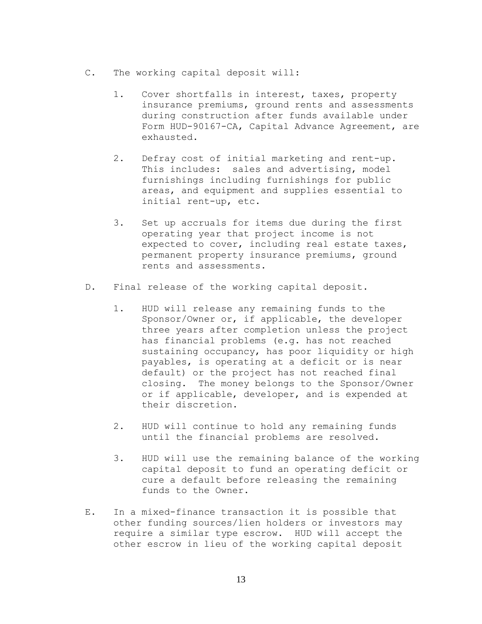- C. The working capital deposit will:
	- 1. Cover shortfalls in interest, taxes, property insurance premiums, ground rents and assessments during construction after funds available under Form HUD-90167-CA, Capital Advance Agreement, are exhausted.
	- 2. Defray cost of initial marketing and rent-up. This includes: sales and advertising, model furnishings including furnishings for public areas, and equipment and supplies essential to initial rent-up, etc.
	- 3. Set up accruals for items due during the first operating year that project income is not expected to cover, including real estate taxes, permanent property insurance premiums, ground rents and assessments.
- D. Final release of the working capital deposit.
	- 1. HUD will release any remaining funds to the Sponsor/Owner or, if applicable, the developer three years after completion unless the project has financial problems (e.g. has not reached sustaining occupancy, has poor liquidity or high payables, is operating at a deficit or is near default) or the project has not reached final closing. The money belongs to the Sponsor/Owner or if applicable, developer, and is expended at their discretion.
	- 2. HUD will continue to hold any remaining funds until the financial problems are resolved.
	- 3. HUD will use the remaining balance of the working capital deposit to fund an operating deficit or cure a default before releasing the remaining funds to the Owner.
- E. In a mixed-finance transaction it is possible that other funding sources/lien holders or investors may require a similar type escrow. HUD will accept the other escrow in lieu of the working capital deposit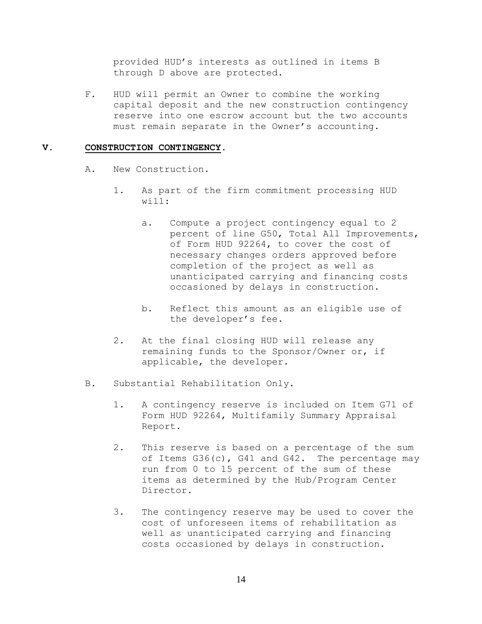provided HUD's interests as outlined in items B through D above are protected.

F. HUD will permit an Owner to combine the working capital deposit and the new construction contingency reserve into one escrow account but the two accounts must remain separate in the Owner's accounting.

## **V. CONSTRUCTION CONTINGENCY.**

- A. New Construction.
	- 1. As part of the firm commitment processing HUD will:
		- a. Compute a project contingency equal to 2 percent of line G50, Total All Improvements, of Form HUD 92264, to cover the cost of necessary changes orders approved before completion of the project as well as unanticipated carrying and financing costs occasioned by delays in construction.
		- b. Reflect this amount as an eligible use of the developer's fee.
	- 2. At the final closing HUD will release any remaining funds to the Sponsor/Owner or, if applicable, the developer.
- B. Substantial Rehabilitation Only.
	- 1. A contingency reserve is included on Item G71 of Form HUD 92264, Multifamily Summary Appraisal Report.
	- 2. This reserve is based on a percentage of the sum of Items G36(c), G41 and G42. The percentage may run from 0 to 15 percent of the sum of these items as determined by the Hub/Program Center Director.
	- 3. The contingency reserve may be used to cover the cost of unforeseen items of rehabilitation as well as unanticipated carrying and financing costs occasioned by delays in construction.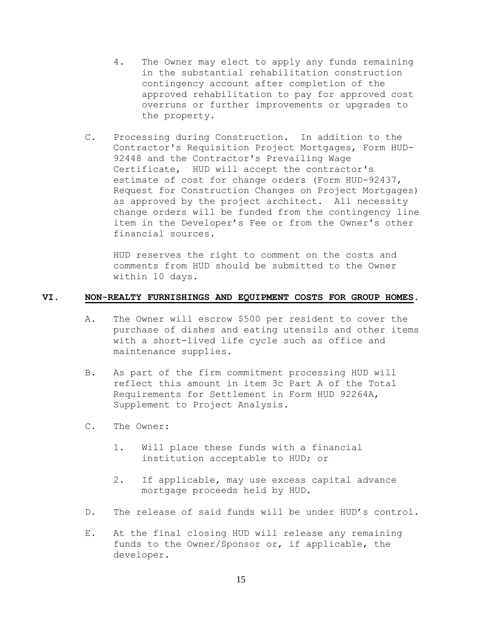- 4. The Owner may elect to apply any funds remaining in the substantial rehabilitation construction contingency account after completion of the approved rehabilitation to pay for approved cost overruns or further improvements or upgrades to the property.
- C. Processing during Construction. In addition to the Contractor's Requisition Project Mortgages, Form HUD-92448 and the Contractor's Prevailing Wage Certificate, HUD will accept the contractor's estimate of cost for change orders (Form HUD-92437, Request for Construction Changes on Project Mortgages) as approved by the project architect. All necessity change orders will be funded from the contingency line item in the Developer's Fee or from the Owner's other financial sources.

HUD reserves the right to comment on the costs and comments from HUD should be submitted to the Owner within 10 days.

#### **VI. NON-REALTY FURNISHINGS AND EQUIPMENT COSTS FOR GROUP HOMES.**

- A. The Owner will escrow \$500 per resident to cover the purchase of dishes and eating utensils and other items with a short-lived life cycle such as office and maintenance supplies.
- B. As part of the firm commitment processing HUD will reflect this amount in item 3c Part A of the Total Requirements for Settlement in Form HUD 92264A, Supplement to Project Analysis.
- C. The Owner:
	- 1. Will place these funds with a financial institution acceptable to HUD; or
	- 2. If applicable, may use excess capital advance mortgage proceeds held by HUD.
- D. The release of said funds will be under HUD's control.
- E. At the final closing HUD will release any remaining funds to the Owner/Sponsor or, if applicable, the developer.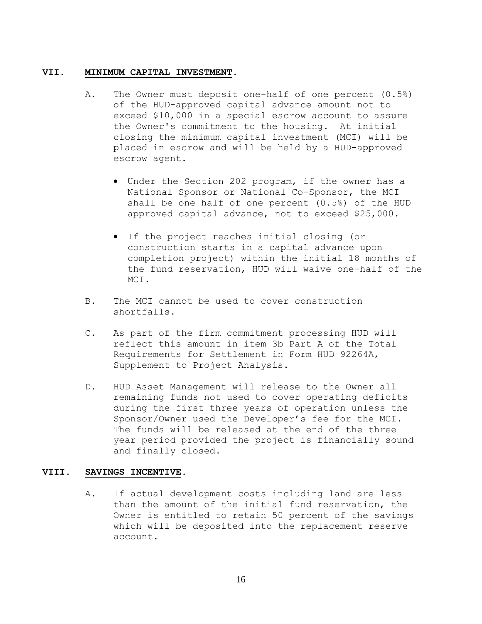#### **VII. MINIMUM CAPITAL INVESTMENT.**

- A. The Owner must deposit one-half of one percent (0.5%) of the HUD-approved capital advance amount not to exceed \$10,000 in a special escrow account to assure the Owner's commitment to the housing. At initial closing the minimum capital investment (MCI) will be placed in escrow and will be held by a HUD-approved escrow agent.
	- Under the Section 202 program, if the owner has a National Sponsor or National Co-Sponsor, the MCI shall be one half of one percent (0.5%) of the HUD approved capital advance, not to exceed \$25,000.
	- If the project reaches initial closing (or construction starts in a capital advance upon completion project) within the initial 18 months of the fund reservation, HUD will waive one-half of the MCI.
- B. The MCI cannot be used to cover construction shortfalls.
- C. As part of the firm commitment processing HUD will reflect this amount in item 3b Part A of the Total Requirements for Settlement in Form HUD 92264A, Supplement to Project Analysis.
- D. HUD Asset Management will release to the Owner all remaining funds not used to cover operating deficits during the first three years of operation unless the Sponsor/Owner used the Developer's fee for the MCI. The funds will be released at the end of the three year period provided the project is financially sound and finally closed.

# **VIII. SAVINGS INCENTIVE.**

A. If actual development costs including land are less than the amount of the initial fund reservation, the Owner is entitled to retain 50 percent of the savings which will be deposited into the replacement reserve account.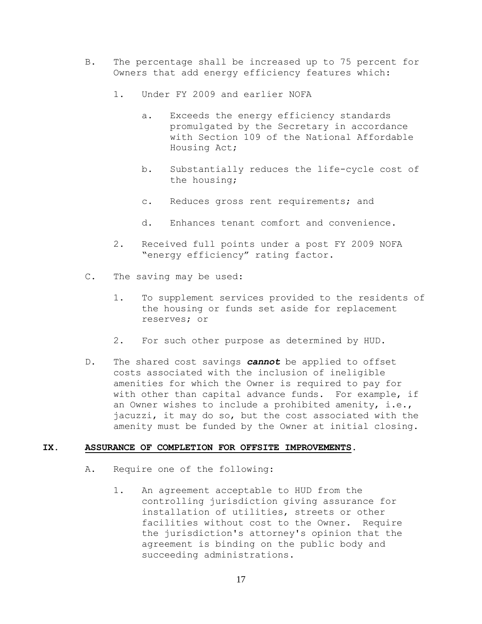- B. The percentage shall be increased up to 75 percent for Owners that add energy efficiency features which:
	- 1. Under FY 2009 and earlier NOFA
		- a. Exceeds the energy efficiency standards promulgated by the Secretary in accordance with Section 109 of the National Affordable Housing Act;
		- b. Substantially reduces the life-cycle cost of the housing;
		- c. Reduces gross rent requirements; and
		- d. Enhances tenant comfort and convenience.
	- 2. Received full points under a post FY 2009 NOFA "energy efficiency" rating factor.
- C. The saving may be used:
	- 1. To supplement services provided to the residents of the housing or funds set aside for replacement reserves; or
	- 2. For such other purpose as determined by HUD.
- D. The shared cost savings *cannot* be applied to offset costs associated with the inclusion of ineligible amenities for which the Owner is required to pay for with other than capital advance funds. For example, if an Owner wishes to include a prohibited amenity, i.e., jacuzzi, it may do so, but the cost associated with the amenity must be funded by the Owner at initial closing.

#### **IX. ASSURANCE OF COMPLETION FOR OFFSITE IMPROVEMENTS.**

- A. Require one of the following:
	- 1. An agreement acceptable to HUD from the controlling jurisdiction giving assurance for installation of utilities, streets or other facilities without cost to the Owner. Require the jurisdiction's attorney's opinion that the agreement is binding on the public body and succeeding administrations.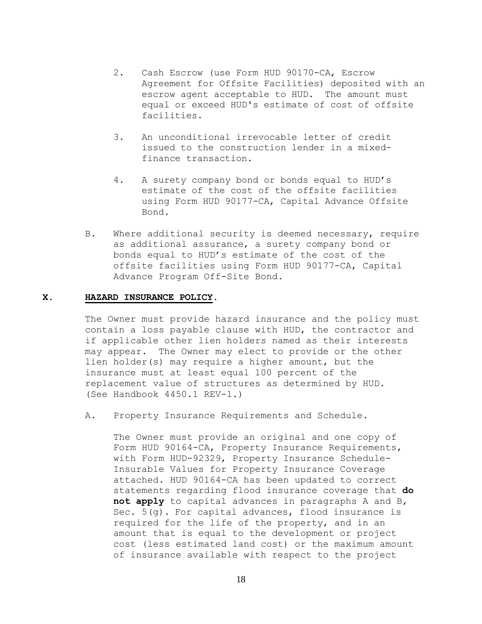- 2. Cash Escrow (use Form HUD 90170-CA, Escrow Agreement for Offsite Facilities) deposited with an escrow agent acceptable to HUD. The amount must equal or exceed HUD's estimate of cost of offsite facilities.
- 3. An unconditional irrevocable letter of credit issued to the construction lender in a mixedfinance transaction.
- 4. A surety company bond or bonds equal to HUD's estimate of the cost of the offsite facilities using Form HUD 90177-CA, Capital Advance Offsite Bond.
- B. Where additional security is deemed necessary, require as additional assurance, a surety company bond or bonds equal to HUD's estimate of the cost of the offsite facilities using Form HUD 90177-CA, Capital Advance Program Off-Site Bond.

#### **X. HAZARD INSURANCE POLICY.**

The Owner must provide hazard insurance and the policy must contain a loss payable clause with HUD, the contractor and if applicable other lien holders named as their interests may appear. The Owner may elect to provide or the other lien holder(s) may require a higher amount, but the insurance must at least equal 100 percent of the replacement value of structures as determined by HUD. (See Handbook 4450.1 REV-1.)

A. Property Insurance Requirements and Schedule.

The Owner must provide an original and one copy of Form HUD 90164-CA, Property Insurance Requirements, with Form HUD-92329, Property Insurance Schedule-Insurable Values for Property Insurance Coverage attached. HUD 90164-CA has been updated to correct statements regarding flood insurance coverage that **do not apply** to capital advances in paragraphs A and B, Sec. 5(g). For capital advances, flood insurance is required for the life of the property, and in an amount that is equal to the development or project cost (less estimated land cost) or the maximum amount of insurance available with respect to the project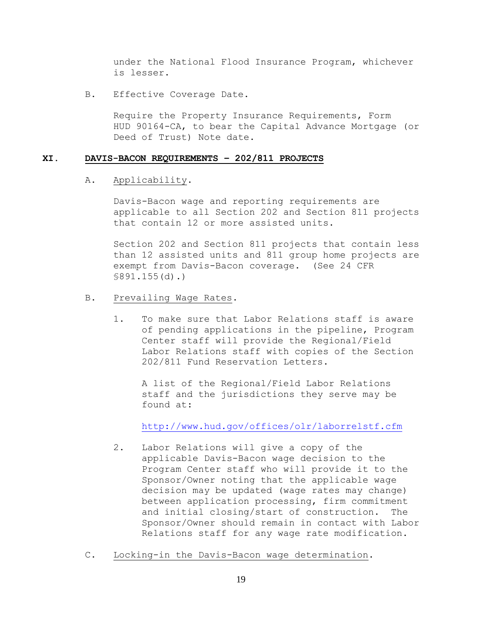under the National Flood Insurance Program, whichever is lesser.

B. Effective Coverage Date.

Require the Property Insurance Requirements, Form HUD 90164-CA, to bear the Capital Advance Mortgage (or Deed of Trust) Note date.

#### **XI. DAVIS-BACON REQUIREMENTS – 202/811 PROJECTS**

# A. Applicability.

Davis-Bacon wage and reporting requirements are applicable to all Section 202 and Section 811 projects that contain 12 or more assisted units.

Section 202 and Section 811 projects that contain less than 12 assisted units and 811 group home projects are exempt from Davis-Bacon coverage. (See 24 CFR §891.155(d).)

- B. Prevailing Wage Rates.
	- 1. To make sure that Labor Relations staff is aware of pending applications in the pipeline, Program Center staff will provide the Regional/Field Labor Relations staff with copies of the Section 202/811 Fund Reservation Letters.

A list of the Regional/Field Labor Relations staff and the jurisdictions they serve may be found at:

<http://www.hud.gov/offices/olr/laborrelstf.cfm>

- 2. Labor Relations will give a copy of the applicable Davis-Bacon wage decision to the Program Center staff who will provide it to the Sponsor/Owner noting that the applicable wage decision may be updated (wage rates may change) between application processing, firm commitment and initial closing/start of construction. The Sponsor/Owner should remain in contact with Labor Relations staff for any wage rate modification.
- C. Locking-in the Davis-Bacon wage determination.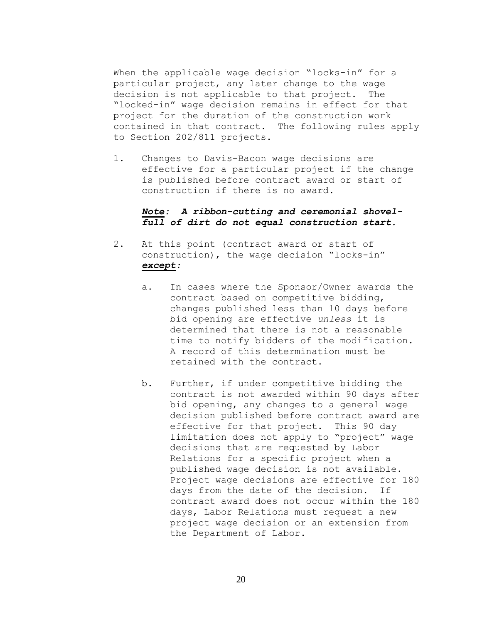When the applicable wage decision "locks-in" for a particular project, any later change to the wage decision is not applicable to that project. The "locked-in" wage decision remains in effect for that project for the duration of the construction work contained in that contract. The following rules apply to Section 202/811 projects.

1. Changes to Davis-Bacon wage decisions are effective for a particular project if the change is published before contract award or start of construction if there is no award.

## *Note: A ribbon-cutting and ceremonial shovelfull of dirt do not equal construction start.*

- 2. At this point (contract award or start of construction), the wage decision "locks-in" *except:*
	- a. In cases where the Sponsor/Owner awards the contract based on competitive bidding, changes published less than 10 days before bid opening are effective *unless* it is determined that there is not a reasonable time to notify bidders of the modification. A record of this determination must be retained with the contract.
	- b. Further, if under competitive bidding the contract is not awarded within 90 days after bid opening, any changes to a general wage decision published before contract award are effective for that project. This 90 day limitation does not apply to "project" wage decisions that are requested by Labor Relations for a specific project when a published wage decision is not available. Project wage decisions are effective for 180 days from the date of the decision. If contract award does not occur within the 180 days, Labor Relations must request a new project wage decision or an extension from the Department of Labor.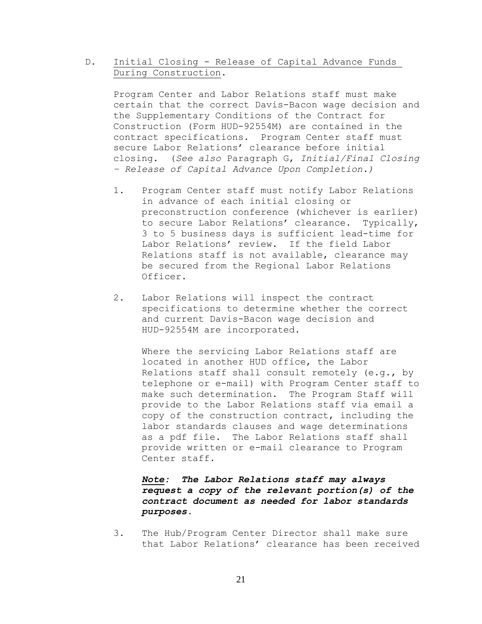# D. Initial Closing - Release of Capital Advance Funds During Construction.

Program Center and Labor Relations staff must make certain that the correct Davis-Bacon wage decision and the Supplementary Conditions of the Contract for Construction (Form HUD-92554M) are contained in the contract specifications. Program Center staff must secure Labor Relations' clearance before initial closing. (*See also* Paragraph G, *Initial/Final Closing – Release of Capital Advance Upon Completion.)*

- 1. Program Center staff must notify Labor Relations in advance of each initial closing or preconstruction conference (whichever is earlier) to secure Labor Relations' clearance. Typically, 3 to 5 business days is sufficient lead-time for Labor Relations' review. If the field Labor Relations staff is not available, clearance may be secured from the Regional Labor Relations Officer.
- 2. Labor Relations will inspect the contract specifications to determine whether the correct and current Davis-Bacon wage decision and HUD-92554M are incorporated.

Where the servicing Labor Relations staff are located in another HUD office, the Labor Relations staff shall consult remotely (e.g., by telephone or e-mail) with Program Center staff to make such determination. The Program Staff will provide to the Labor Relations staff via email a copy of the construction contract, including the labor standards clauses and wage determinations as a pdf file. The Labor Relations staff shall provide written or e-mail clearance to Program Center staff.

# *Note: The Labor Relations staff may always request a copy of the relevant portion(s) of the contract document as needed for labor standards purposes.*

3. The Hub/Program Center Director shall make sure that Labor Relations' clearance has been received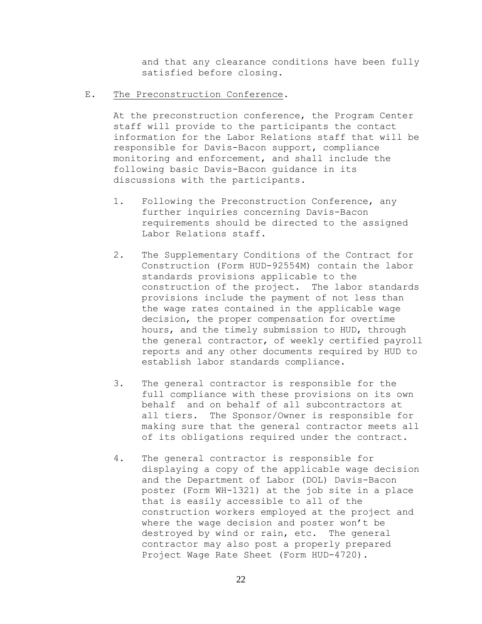and that any clearance conditions have been fully satisfied before closing.

E. The Preconstruction Conference.

At the preconstruction conference, the Program Center staff will provide to the participants the contact information for the Labor Relations staff that will be responsible for Davis-Bacon support, compliance monitoring and enforcement, and shall include the following basic Davis-Bacon guidance in its discussions with the participants.

- 1. Following the Preconstruction Conference, any further inquiries concerning Davis-Bacon requirements should be directed to the assigned Labor Relations staff.
- 2. The Supplementary Conditions of the Contract for Construction (Form HUD-92554M) contain the labor standards provisions applicable to the construction of the project. The labor standards provisions include the payment of not less than the wage rates contained in the applicable wage decision, the proper compensation for overtime hours, and the timely submission to HUD, through the general contractor, of weekly certified payroll reports and any other documents required by HUD to establish labor standards compliance.
- 3. The general contractor is responsible for the full compliance with these provisions on its own behalf and on behalf of all subcontractors at all tiers. The Sponsor/Owner is responsible for making sure that the general contractor meets all of its obligations required under the contract.
- 4. The general contractor is responsible for displaying a copy of the applicable wage decision and the Department of Labor (DOL) Davis-Bacon poster (Form WH-1321) at the job site in a place that is easily accessible to all of the construction workers employed at the project and where the wage decision and poster won't be destroyed by wind or rain, etc. The general contractor may also post a properly prepared Project Wage Rate Sheet (Form HUD-4720).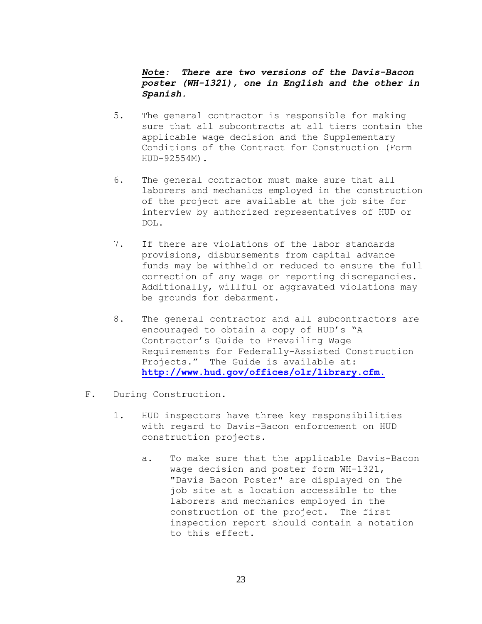# *Note: There are two versions of the Davis-Bacon poster (WH-1321), one in English and the other in Spanish.*

- 5. The general contractor is responsible for making sure that all subcontracts at all tiers contain the applicable wage decision and the Supplementary Conditions of the Contract for Construction (Form HUD-92554M).
- 6. The general contractor must make sure that all laborers and mechanics employed in the construction of the project are available at the job site for interview by authorized representatives of HUD or DOL.
- 7. If there are violations of the labor standards provisions, disbursements from capital advance funds may be withheld or reduced to ensure the full correction of any wage or reporting discrepancies. Additionally, willful or aggravated violations may be grounds for debarment.
- 8. The general contractor and all subcontractors are encouraged to obtain a copy of HUD's "A Contractor's Guide to Prevailing Wage Requirements for Federally-Assisted Construction Projects." The Guide is available at: **[http://www.hud.gov/offices/olr/library.cfm.](http://www.hud.gov/offices/olr/library.cfm)**
- F. During Construction.
	- 1. HUD inspectors have three key responsibilities with regard to Davis-Bacon enforcement on HUD construction projects.
		- a. To make sure that the applicable Davis-Bacon wage decision and poster form WH-1321, "Davis Bacon Poster" are displayed on the job site at a location accessible to the laborers and mechanics employed in the construction of the project. The first inspection report should contain a notation to this effect.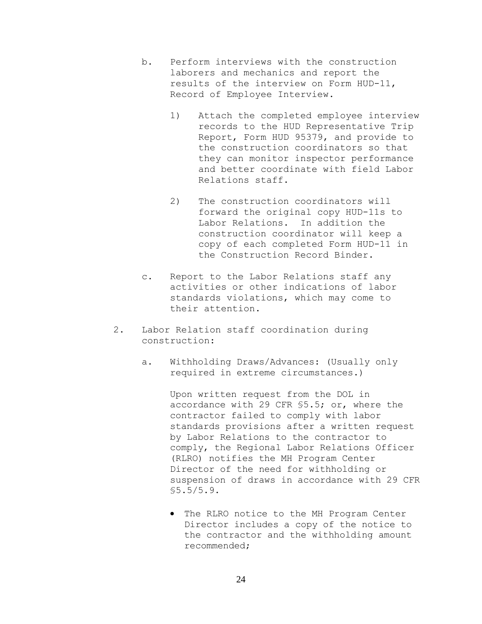- b. Perform interviews with the construction laborers and mechanics and report the results of the interview on Form HUD-11, Record of Employee Interview.
	- 1) Attach the completed employee interview records to the HUD Representative Trip Report, Form HUD 95379, and provide to the construction coordinators so that they can monitor inspector performance and better coordinate with field Labor Relations staff.
	- 2) The construction coordinators will forward the original copy HUD-11s to Labor Relations. In addition the construction coordinator will keep a copy of each completed Form HUD-11 in the Construction Record Binder.
- c. Report to the Labor Relations staff any activities or other indications of labor standards violations, which may come to their attention.
- 2. Labor Relation staff coordination during construction:
	- a. Withholding Draws/Advances: (Usually only required in extreme circumstances.)

Upon written request from the DOL in accordance with 29 CFR §5.5; or, where the contractor failed to comply with labor standards provisions after a written request by Labor Relations to the contractor to comply, the Regional Labor Relations Officer (RLRO) notifies the MH Program Center Director of the need for withholding or suspension of draws in accordance with 29 CFR §5.5/5.9.

 The RLRO notice to the MH Program Center Director includes a copy of the notice to the contractor and the withholding amount recommended;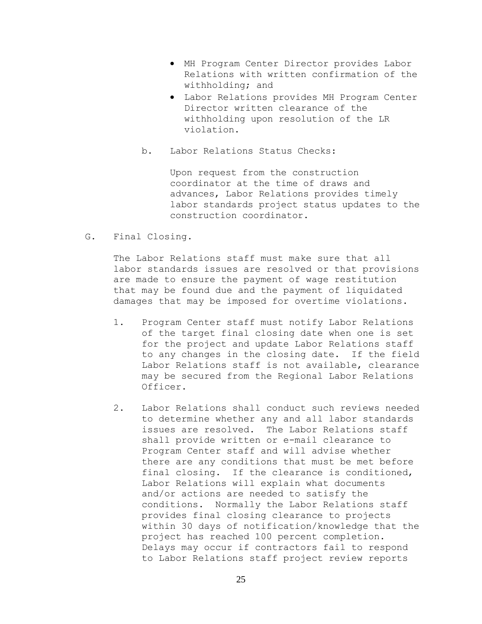- MH Program Center Director provides Labor Relations with written confirmation of the withholding; and
- Labor Relations provides MH Program Center Director written clearance of the withholding upon resolution of the LR violation.
- b. Labor Relations Status Checks:

Upon request from the construction coordinator at the time of draws and advances, Labor Relations provides timely labor standards project status updates to the construction coordinator.

G. Final Closing.

The Labor Relations staff must make sure that all labor standards issues are resolved or that provisions are made to ensure the payment of wage restitution that may be found due and the payment of liquidated damages that may be imposed for overtime violations.

- 1. Program Center staff must notify Labor Relations of the target final closing date when one is set for the project and update Labor Relations staff to any changes in the closing date. If the field Labor Relations staff is not available, clearance may be secured from the Regional Labor Relations Officer.
- 2. Labor Relations shall conduct such reviews needed to determine whether any and all labor standards issues are resolved. The Labor Relations staff shall provide written or e-mail clearance to Program Center staff and will advise whether there are any conditions that must be met before final closing. If the clearance is conditioned, Labor Relations will explain what documents and/or actions are needed to satisfy the conditions. Normally the Labor Relations staff provides final closing clearance to projects within 30 days of notification/knowledge that the project has reached 100 percent completion. Delays may occur if contractors fail to respond to Labor Relations staff project review reports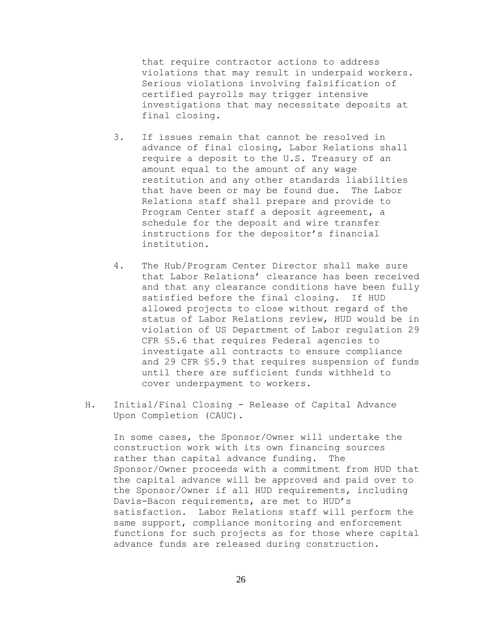that require contractor actions to address violations that may result in underpaid workers. Serious violations involving falsification of certified payrolls may trigger intensive investigations that may necessitate deposits at final closing.

- 3. If issues remain that cannot be resolved in advance of final closing, Labor Relations shall require a deposit to the U.S. Treasury of an amount equal to the amount of any wage restitution and any other standards liabilities that have been or may be found due. The Labor Relations staff shall prepare and provide to Program Center staff a deposit agreement, a schedule for the deposit and wire transfer instructions for the depositor's financial institution.
- 4. The Hub/Program Center Director shall make sure that Labor Relations' clearance has been received and that any clearance conditions have been fully satisfied before the final closing. If HUD allowed projects to close without regard of the status of Labor Relations review, HUD would be in violation of US Department of Labor regulation 29 CFR §5.6 that requires Federal agencies to investigate all contracts to ensure compliance and 29 CFR §5.9 that requires suspension of funds until there are sufficient funds withheld to cover underpayment to workers.
- H. Initial/Final Closing Release of Capital Advance Upon Completion (CAUC).

In some cases, the Sponsor/Owner will undertake the construction work with its own financing sources rather than capital advance funding. The Sponsor/Owner proceeds with a commitment from HUD that the capital advance will be approved and paid over to the Sponsor/Owner if all HUD requirements, including Davis-Bacon requirements, are met to HUD's satisfaction. Labor Relations staff will perform the same support, compliance monitoring and enforcement functions for such projects as for those where capital advance funds are released during construction.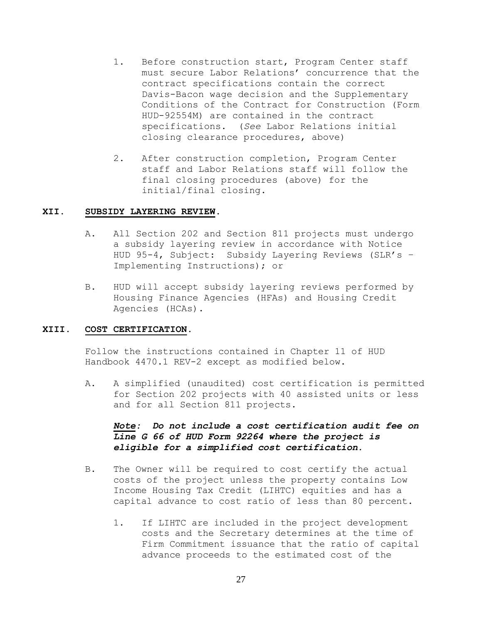- 1. Before construction start, Program Center staff must secure Labor Relations' concurrence that the contract specifications contain the correct Davis-Bacon wage decision and the Supplementary Conditions of the Contract for Construction (Form HUD-92554M) are contained in the contract specifications. (*See* Labor Relations initial closing clearance procedures, above)
- 2. After construction completion, Program Center staff and Labor Relations staff will follow the final closing procedures (above) for the initial/final closing.

#### **XII. SUBSIDY LAYERING REVIEW.**

- A. All Section 202 and Section 811 projects must undergo a subsidy layering review in accordance with Notice HUD 95-4, Subject: Subsidy Layering Reviews (SLR's – Implementing Instructions); or
- B. HUD will accept subsidy layering reviews performed by Housing Finance Agencies (HFAs) and Housing Credit Agencies (HCAs).

# **XIII. COST CERTIFICATION.**

Follow the instructions contained in Chapter 11 of HUD Handbook 4470.1 REV-2 except as modified below.

A. A simplified (unaudited) cost certification is permitted for Section 202 projects with 40 assisted units or less and for all Section 811 projects.

*Note: Do not include a cost certification audit fee on Line G 66 of HUD Form 92264 where the project is eligible for a simplified cost certification.*

- B. The Owner will be required to cost certify the actual costs of the project unless the property contains Low Income Housing Tax Credit (LIHTC) equities and has a capital advance to cost ratio of less than 80 percent.
	- 1. If LIHTC are included in the project development costs and the Secretary determines at the time of Firm Commitment issuance that the ratio of capital advance proceeds to the estimated cost of the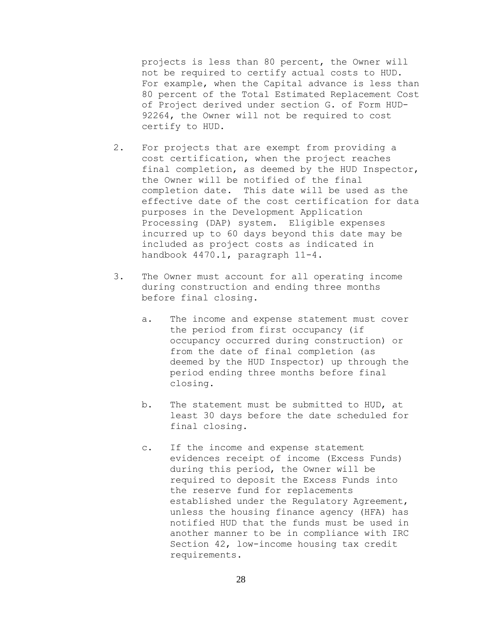projects is less than 80 percent, the Owner will not be required to certify actual costs to HUD. For example, when the Capital advance is less than 80 percent of the Total Estimated Replacement Cost of Project derived under section G. of Form HUD-92264, the Owner will not be required to cost certify to HUD.

- 2. For projects that are exempt from providing a cost certification, when the project reaches final completion, as deemed by the HUD Inspector, the Owner will be notified of the final completion date. This date will be used as the effective date of the cost certification for data purposes in the Development Application Processing (DAP) system. Eligible expenses incurred up to 60 days beyond this date may be included as project costs as indicated in handbook 4470.1, paragraph 11-4.
- 3. The Owner must account for all operating income during construction and ending three months before final closing.
	- a. The income and expense statement must cover the period from first occupancy (if occupancy occurred during construction) or from the date of final completion (as deemed by the HUD Inspector) up through the period ending three months before final closing.
	- b. The statement must be submitted to HUD, at least 30 days before the date scheduled for final closing.
	- c. If the income and expense statement evidences receipt of income (Excess Funds) during this period, the Owner will be required to deposit the Excess Funds into the reserve fund for replacements established under the Regulatory Agreement, unless the housing finance agency (HFA) has notified HUD that the funds must be used in another manner to be in compliance with IRC Section 42, low-income housing tax credit requirements.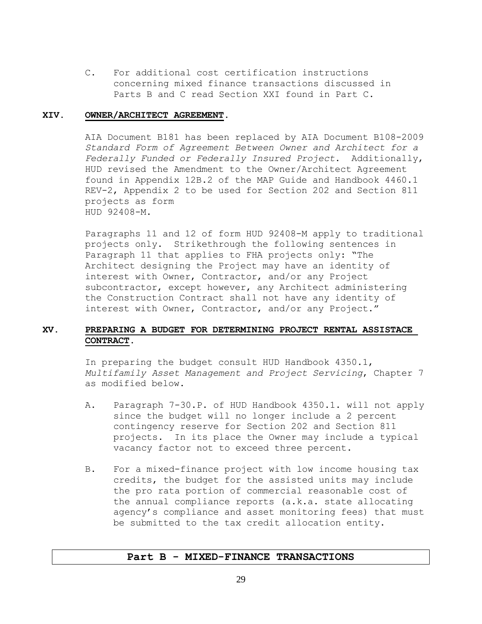C. For additional cost certification instructions concerning mixed finance transactions discussed in Parts B and C read Section XXI found in Part C.

# **XIV. OWNER/ARCHITECT AGREEMENT.**

AIA Document B181 has been replaced by AIA Document B108-2009 *Standard Form of Agreement Between Owner and Architect for a Federally Funded or Federally Insured Project*. Additionally, HUD revised the Amendment to the Owner/Architect Agreement found in Appendix 12B.2 of the MAP Guide and Handbook 4460.1 REV-2, Appendix 2 to be used for Section 202 and Section 811 projects as form HUD 92408-M.

Paragraphs 11 and 12 of form HUD 92408-M apply to traditional projects only. Strikethrough the following sentences in Paragraph 11 that applies to FHA projects only: "The Architect designing the Project may have an identity of interest with Owner, Contractor, and/or any Project subcontractor, except however, any Architect administering the Construction Contract shall not have any identity of interest with Owner, Contractor, and/or any Project."

# **XV. PREPARING A BUDGET FOR DETERMINING PROJECT RENTAL ASSISTACE CONTRACT.**

In preparing the budget consult HUD Handbook 4350.1, *Multifamily Asset Management and Project Servicing*, Chapter 7 as modified below.

- A. Paragraph 7-30.P. of HUD Handbook 4350.1. will not apply since the budget will no longer include a 2 percent contingency reserve for Section 202 and Section 811 projects. In its place the Owner may include a typical vacancy factor not to exceed three percent.
- B. For a mixed-finance project with low income housing tax credits, the budget for the assisted units may include the pro rata portion of commercial reasonable cost of the annual compliance reports (a.k.a. state allocating agency's compliance and asset monitoring fees) that must be submitted to the tax credit allocation entity.

#### **Part B - MIXED-FINANCE TRANSACTIONS**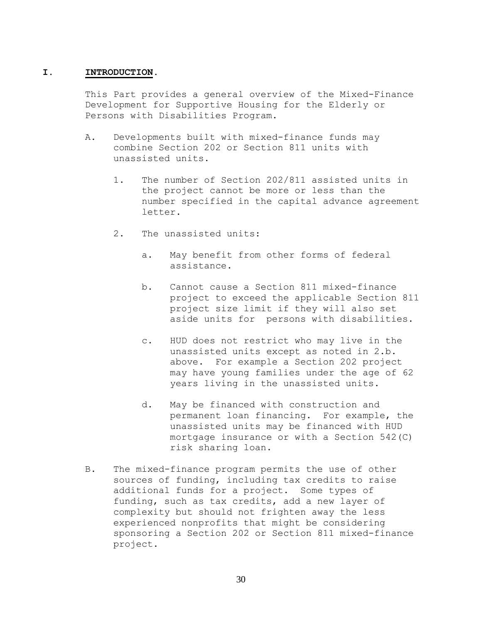# **I. INTRODUCTION.**

This Part provides a general overview of the Mixed-Finance Development for Supportive Housing for the Elderly or Persons with Disabilities Program.

- A. Developments built with mixed-finance funds may combine Section 202 or Section 811 units with unassisted units.
	- 1. The number of Section 202/811 assisted units in the project cannot be more or less than the number specified in the capital advance agreement letter.
	- 2. The unassisted units:
		- a. May benefit from other forms of federal assistance.
		- b. Cannot cause a Section 811 mixed-finance project to exceed the applicable Section 811 project size limit if they will also set aside units for persons with disabilities.
		- c. HUD does not restrict who may live in the unassisted units except as noted in 2.b. above. For example a Section 202 project may have young families under the age of 62 years living in the unassisted units.
		- d. May be financed with construction and permanent loan financing. For example, the unassisted units may be financed with HUD mortgage insurance or with a Section 542(C) risk sharing loan.
- B. The mixed-finance program permits the use of other sources of funding, including tax credits to raise additional funds for a project. Some types of funding, such as tax credits, add a new layer of complexity but should not frighten away the less experienced nonprofits that might be considering sponsoring a Section 202 or Section 811 mixed-finance project.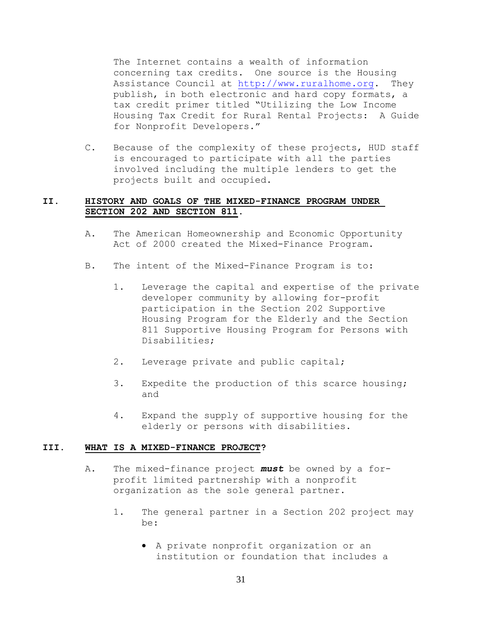The Internet contains a wealth of information concerning tax credits. One source is the Housing Assistance Council at [http://www.ruralhome.org.](http://www/ruralhome.org) They publish, in both electronic and hard copy formats, a tax credit primer titled "Utilizing the Low Income Housing Tax Credit for Rural Rental Projects: A Guide for Nonprofit Developers."

C. Because of the complexity of these projects, HUD staff is encouraged to participate with all the parties involved including the multiple lenders to get the projects built and occupied.

# **II. HISTORY AND GOALS OF THE MIXED-FINANCE PROGRAM UNDER SECTION 202 AND SECTION 811.**

- A. The American Homeownership and Economic Opportunity Act of 2000 created the Mixed-Finance Program.
- B. The intent of the Mixed-Finance Program is to:
	- 1. Leverage the capital and expertise of the private developer community by allowing for-profit participation in the Section 202 Supportive Housing Program for the Elderly and the Section 811 Supportive Housing Program for Persons with Disabilities;
	- 2. Leverage private and public capital;
	- 3. Expedite the production of this scarce housing; and
	- 4. Expand the supply of supportive housing for the elderly or persons with disabilities.

#### **III. WHAT IS A MIXED-FINANCE PROJECT?**

- A. The mixed-finance project *must* be owned by a forprofit limited partnership with a nonprofit organization as the sole general partner.
	- 1. The general partner in a Section 202 project may be:
		- A private nonprofit organization or an institution or foundation that includes a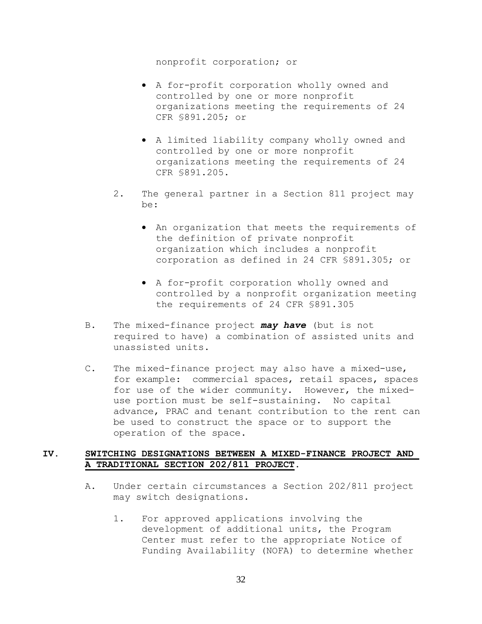nonprofit corporation; or

- A for-profit corporation wholly owned and controlled by one or more nonprofit organizations meeting the requirements of 24 CFR §891.205; or
- A limited liability company wholly owned and controlled by one or more nonprofit organizations meeting the requirements of 24 CFR §891.205.
- 2. The general partner in a Section 811 project may be:
	- An organization that meets the requirements of the definition of private nonprofit organization which includes a nonprofit corporation as defined in 24 CFR §891.305; or
	- A for-profit corporation wholly owned and controlled by a nonprofit organization meeting the requirements of 24 CFR §891.305
- B. The mixed-finance project *may have* (but is not required to have) a combination of assisted units and unassisted units.
- C. The mixed-finance project may also have a mixed-use, for example: commercial spaces, retail spaces, spaces for use of the wider community. However, the mixeduse portion must be self-sustaining. No capital advance, PRAC and tenant contribution to the rent can be used to construct the space or to support the operation of the space.

# **IV. SWITCHING DESIGNATIONS BETWEEN A MIXED-FINANCE PROJECT AND A TRADITIONAL SECTION 202/811 PROJECT.**

- A. Under certain circumstances a Section 202/811 project may switch designations.
	- 1. For approved applications involving the development of additional units, the Program Center must refer to the appropriate Notice of Funding Availability (NOFA) to determine whether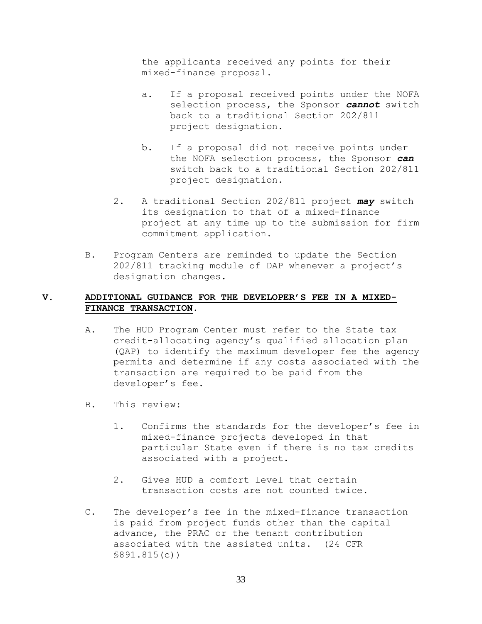the applicants received any points for their mixed-finance proposal.

- a. If a proposal received points under the NOFA selection process, the Sponsor *cannot* switch back to a traditional Section 202/811 project designation.
- b. If a proposal did not receive points under the NOFA selection process, the Sponsor *can* switch back to a traditional Section 202/811 project designation.
- 2. A traditional Section 202/811 project *may* switch its designation to that of a mixed-finance project at any time up to the submission for firm commitment application.
- B. Program Centers are reminded to update the Section 202/811 tracking module of DAP whenever a project's designation changes.

# **V. ADDITIONAL GUIDANCE FOR THE DEVELOPER'S FEE IN A MIXED-FINANCE TRANSACTION.**

- A. The HUD Program Center must refer to the State tax credit-allocating agency's qualified allocation plan (QAP) to identify the maximum developer fee the agency permits and determine if any costs associated with the transaction are required to be paid from the developer's fee.
- B. This review:
	- 1. Confirms the standards for the developer's fee in mixed-finance projects developed in that particular State even if there is no tax credits associated with a project.
	- 2. Gives HUD a comfort level that certain transaction costs are not counted twice.
- C. The developer's fee in the mixed-finance transaction is paid from project funds other than the capital advance, the PRAC or the tenant contribution associated with the assisted units. (24 CFR §891.815(c))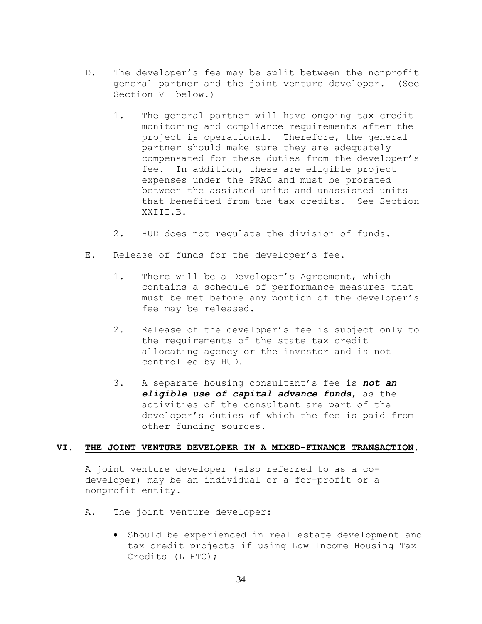- D. The developer's fee may be split between the nonprofit general partner and the joint venture developer. (See Section VI below.)
	- 1. The general partner will have ongoing tax credit monitoring and compliance requirements after the project is operational. Therefore, the general partner should make sure they are adequately compensated for these duties from the developer's fee. In addition, these are eligible project expenses under the PRAC and must be prorated between the assisted units and unassisted units that benefited from the tax credits. See Section XXIII.B.
	- 2. HUD does not regulate the division of funds.
- E. Release of funds for the developer's fee.
	- 1. There will be a Developer's Agreement, which contains a schedule of performance measures that must be met before any portion of the developer's fee may be released.
	- 2. Release of the developer's fee is subject only to the requirements of the state tax credit allocating agency or the investor and is not controlled by HUD.
	- 3. A separate housing consultant's fee is *not an eligible use of capital advance funds*, as the activities of the consultant are part of the developer's duties of which the fee is paid from other funding sources.

#### **VI. THE JOINT VENTURE DEVELOPER IN A MIXED-FINANCE TRANSACTION.**

A joint venture developer (also referred to as a codeveloper) may be an individual or a for-profit or a nonprofit entity.

- A. The joint venture developer:
	- Should be experienced in real estate development and tax credit projects if using Low Income Housing Tax Credits (LIHTC);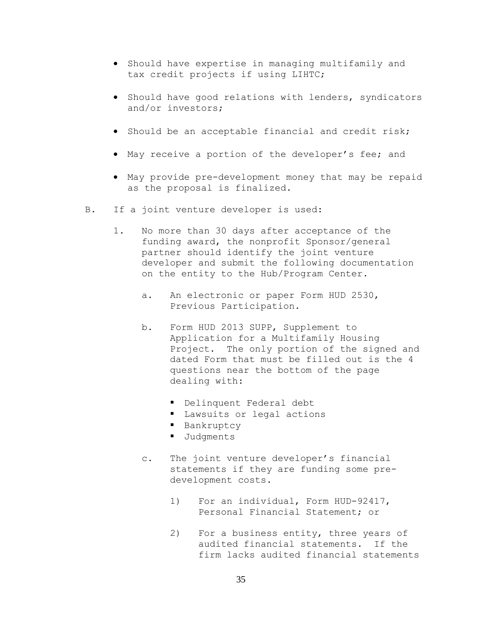- Should have expertise in managing multifamily and tax credit projects if using LIHTC;
- Should have good relations with lenders, syndicators and/or investors;
- Should be an acceptable financial and credit risk;
- May receive a portion of the developer's fee; and
- May provide pre-development money that may be repaid as the proposal is finalized.
- B. If a joint venture developer is used:
	- 1. No more than 30 days after acceptance of the funding award, the nonprofit Sponsor/general partner should identify the joint venture developer and submit the following documentation on the entity to the Hub/Program Center.
		- a. An electronic or paper Form HUD 2530, Previous Participation.
		- b. Form HUD 2013 SUPP, Supplement to Application for a Multifamily Housing Project. The only portion of the signed and dated Form that must be filled out is the 4 questions near the bottom of the page dealing with:
			- Delinquent Federal debt
			- **Lawsuits or legal actions**
			- **Bankruptcy**
			- **Judgments**
		- c. The joint venture developer's financial statements if they are funding some predevelopment costs.
			- 1) For an individual, Form HUD-92417, Personal Financial Statement; or
			- 2) For a business entity, three years of audited financial statements. If the firm lacks audited financial statements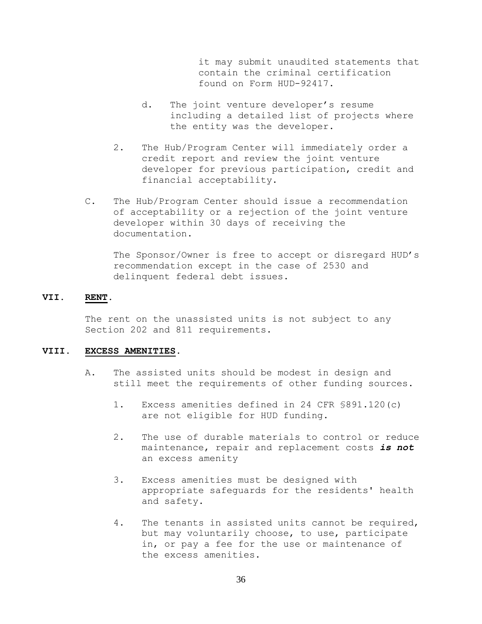it may submit unaudited statements that contain the criminal certification found on Form HUD-92417.

- d. The joint venture developer's resume including a detailed list of projects where the entity was the developer.
- 2. The Hub/Program Center will immediately order a credit report and review the joint venture developer for previous participation, credit and financial acceptability.
- C. The Hub/Program Center should issue a recommendation of acceptability or a rejection of the joint venture developer within 30 days of receiving the documentation.

The Sponsor/Owner is free to accept or disregard HUD's recommendation except in the case of 2530 and delinquent federal debt issues.

#### **VII. RENT.**

The rent on the unassisted units is not subject to any Section 202 and 811 requirements.

#### **VIII. EXCESS AMENITIES.**

- A. The assisted units should be modest in design and still meet the requirements of other funding sources.
	- 1. Excess amenities defined in 24 CFR §891.120(c) are not eligible for HUD funding.
	- 2. The use of durable materials to control or reduce maintenance, repair and replacement costs *is not* an excess amenity
	- 3. Excess amenities must be designed with appropriate safeguards for the residents' health and safety.
	- 4. The tenants in assisted units cannot be required, but may voluntarily choose, to use, participate in, or pay a fee for the use or maintenance of the excess amenities.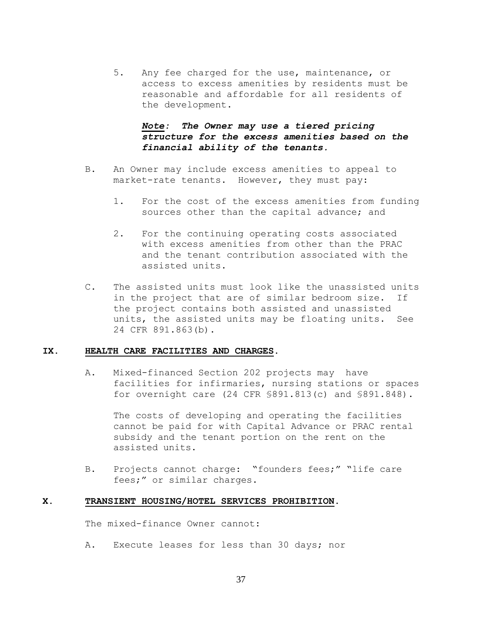5. Any fee charged for the use, maintenance, or access to excess amenities by residents must be reasonable and affordable for all residents of the development.

# *Note: The Owner may use a tiered pricing structure for the excess amenities based on the financial ability of the tenants.*

- B. An Owner may include excess amenities to appeal to market-rate tenants. However, they must pay:
	- 1. For the cost of the excess amenities from funding sources other than the capital advance; and
	- 2. For the continuing operating costs associated with excess amenities from other than the PRAC and the tenant contribution associated with the assisted units.
- C. The assisted units must look like the unassisted units in the project that are of similar bedroom size. If the project contains both assisted and unassisted units, the assisted units may be floating units. See 24 CFR 891.863(b).

#### **IX. HEALTH CARE FACILITIES AND CHARGES.**

A. Mixed-financed Section 202 projects may have facilities for infirmaries, nursing stations or spaces for overnight care (24 CFR §891.813(c) and §891.848).

The costs of developing and operating the facilities cannot be paid for with Capital Advance or PRAC rental subsidy and the tenant portion on the rent on the assisted units.

B. Projects cannot charge: "founders fees;" "life care fees;" or similar charges.

#### **X. TRANSIENT HOUSING/HOTEL SERVICES PROHIBITION.**

The mixed-finance Owner cannot:

A. Execute leases for less than 30 days; nor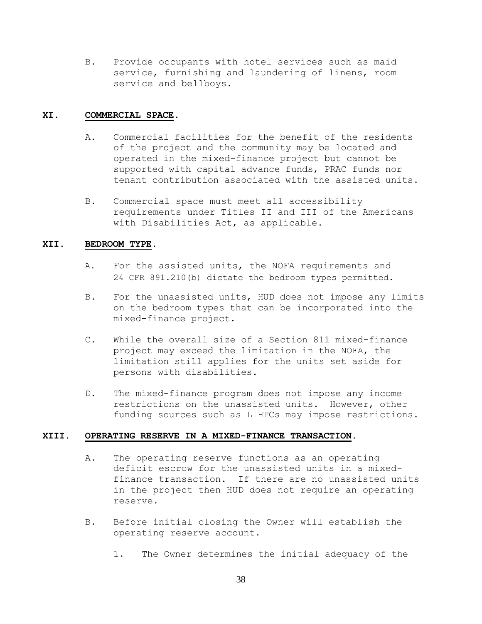B. Provide occupants with hotel services such as maid service, furnishing and laundering of linens, room service and bellboys.

### **XI. COMMERCIAL SPACE.**

- A. Commercial facilities for the benefit of the residents of the project and the community may be located and operated in the mixed-finance project but cannot be supported with capital advance funds, PRAC funds nor tenant contribution associated with the assisted units.
- B. Commercial space must meet all accessibility requirements under Titles II and III of the Americans with Disabilities Act, as applicable.

### **XII. BEDROOM TYPE.**

- A. For the assisted units, the NOFA requirements and 24 CFR 891.210(b) dictate the bedroom types permitted.
- B. For the unassisted units, HUD does not impose any limits on the bedroom types that can be incorporated into the mixed-finance project.
- C. While the overall size of a Section 811 mixed-finance project may exceed the limitation in the NOFA, the limitation still applies for the units set aside for persons with disabilities.
- D. The mixed-finance program does not impose any income restrictions on the unassisted units. However, other funding sources such as LIHTCs may impose restrictions.

# **XIII. OPERATING RESERVE IN A MIXED-FINANCE TRANSACTION.**

- A. The operating reserve functions as an operating deficit escrow for the unassisted units in a mixedfinance transaction. If there are no unassisted units in the project then HUD does not require an operating reserve.
- B. Before initial closing the Owner will establish the operating reserve account.
	- 1. The Owner determines the initial adequacy of the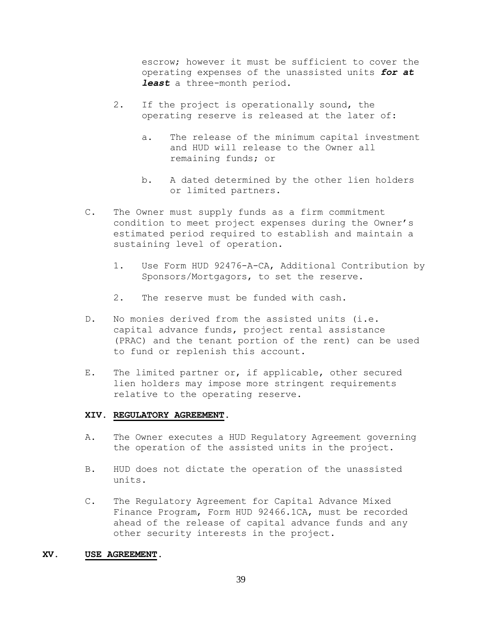escrow; however it must be sufficient to cover the operating expenses of the unassisted units *for at least* a three-month period.

- 2. If the project is operationally sound, the operating reserve is released at the later of:
	- a. The release of the minimum capital investment and HUD will release to the Owner all remaining funds; or
	- b. A dated determined by the other lien holders or limited partners.
- C. The Owner must supply funds as a firm commitment condition to meet project expenses during the Owner's estimated period required to establish and maintain a sustaining level of operation.
	- 1. Use Form HUD 92476-A-CA, Additional Contribution by Sponsors/Mortgagors, to set the reserve.
	- 2. The reserve must be funded with cash.
- D. No monies derived from the assisted units (i.e. capital advance funds, project rental assistance (PRAC) and the tenant portion of the rent) can be used to fund or replenish this account.
- E. The limited partner or, if applicable, other secured lien holders may impose more stringent requirements relative to the operating reserve.

### **XIV. REGULATORY AGREEMENT.**

- A. The Owner executes a HUD Regulatory Agreement governing the operation of the assisted units in the project.
- B. HUD does not dictate the operation of the unassisted units.
- C. The Regulatory Agreement for Capital Advance Mixed Finance Program, Form HUD 92466.1CA, must be recorded ahead of the release of capital advance funds and any other security interests in the project.

## **XV. USE AGREEMENT.**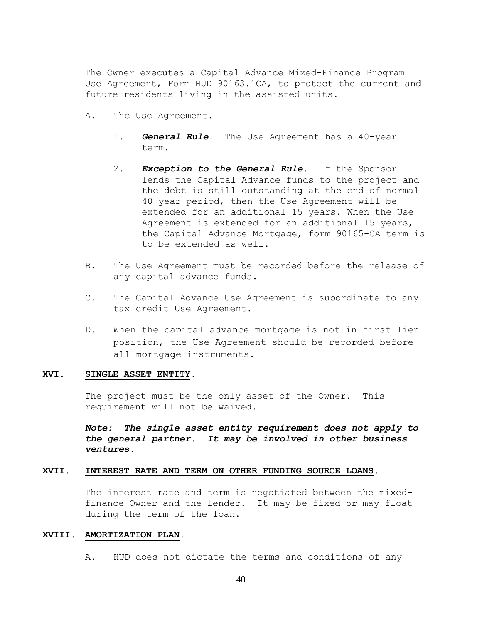The Owner executes a Capital Advance Mixed-Finance Program Use Agreement, Form HUD 90163.1CA, to protect the current and future residents living in the assisted units.

- A. The Use Agreement.
	- 1. *General Rule*. The Use Agreement has a 40-year term.
	- 2. *Exception to the General Rule*. If the Sponsor lends the Capital Advance funds to the project and the debt is still outstanding at the end of normal 40 year period, then the Use Agreement will be extended for an additional 15 years. When the Use Agreement is extended for an additional 15 years, the Capital Advance Mortgage, form 90165-CA term is to be extended as well.
- B. The Use Agreement must be recorded before the release of any capital advance funds.
- C. The Capital Advance Use Agreement is subordinate to any tax credit Use Agreement.
- D. When the capital advance mortgage is not in first lien position, the Use Agreement should be recorded before all mortgage instruments.

### **XVI. SINGLE ASSET ENTITY.**

The project must be the only asset of the Owner. This requirement will not be waived.

*Note: The single asset entity requirement does not apply to the general partner. It may be involved in other business ventures.*

#### **XVII. INTEREST RATE AND TERM ON OTHER FUNDING SOURCE LOANS.**

The interest rate and term is negotiated between the mixedfinance Owner and the lender. It may be fixed or may float during the term of the loan.

#### **XVIII. AMORTIZATION PLAN.**

A. HUD does not dictate the terms and conditions of any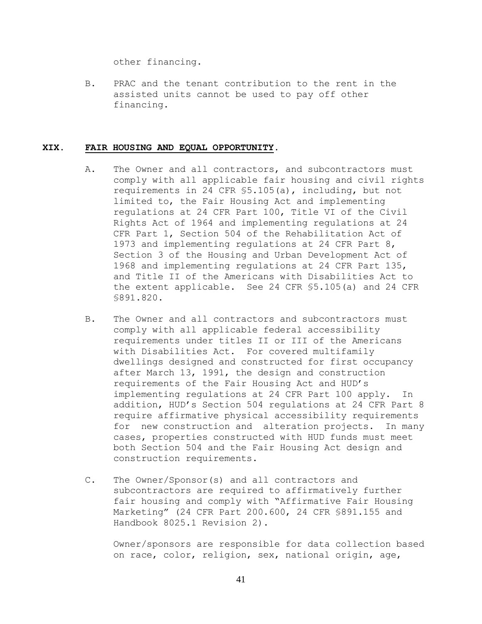other financing.

B. PRAC and the tenant contribution to the rent in the assisted units cannot be used to pay off other financing.

# **XIX. FAIR HOUSING AND EQUAL OPPORTUNITY.**

- A. The Owner and all contractors, and subcontractors must comply with all applicable fair housing and civil rights requirements in 24 CFR §5.105(a), including, but not limited to, the Fair Housing Act and implementing regulations at 24 CFR Part 100, Title VI of the Civil Rights Act of 1964 and implementing regulations at 24 CFR Part 1, Section 504 of the Rehabilitation Act of 1973 and implementing regulations at 24 CFR Part 8, Section 3 of the Housing and Urban Development Act of 1968 and implementing regulations at 24 CFR Part 135, and Title II of the Americans with Disabilities Act to the extent applicable. See 24 CFR §5.105(a) and 24 CFR §891.820.
- B. The Owner and all contractors and subcontractors must comply with all applicable federal accessibility requirements under titles II or III of the Americans with Disabilities Act. For covered multifamily dwellings designed and constructed for first occupancy after March 13, 1991, the design and construction requirements of the Fair Housing Act and HUD's implementing regulations at 24 CFR Part 100 apply. In addition, HUD's Section 504 regulations at 24 CFR Part 8 require affirmative physical accessibility requirements for new construction and alteration projects. In many cases, properties constructed with HUD funds must meet both Section 504 and the Fair Housing Act design and construction requirements.
- C. The Owner/Sponsor(s) and all contractors and subcontractors are required to affirmatively further fair housing and comply with "Affirmative Fair Housing Marketing" (24 CFR Part 200.600, 24 CFR §891.155 and Handbook 8025.1 Revision 2).

Owner/sponsors are responsible for data collection based on race, color, religion, sex, national origin, age,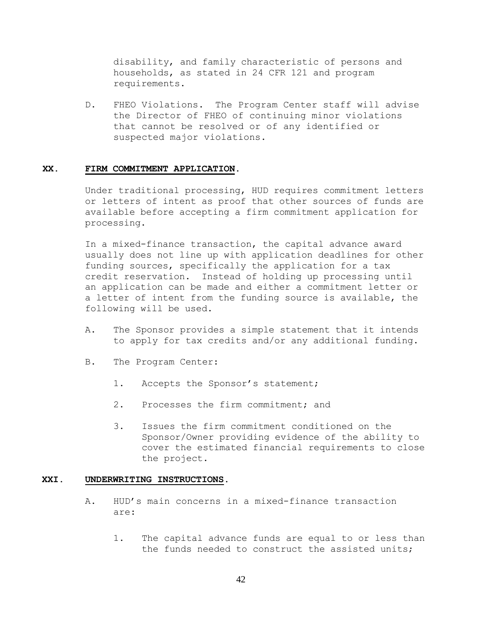disability, and family characteristic of persons and households, as stated in 24 CFR 121 and program requirements.

D. FHEO Violations. The Program Center staff will advise the Director of FHEO of continuing minor violations that cannot be resolved or of any identified or suspected major violations.

### **XX. FIRM COMMITMENT APPLICATION.**

Under traditional processing, HUD requires commitment letters or letters of intent as proof that other sources of funds are available before accepting a firm commitment application for processing.

In a mixed-finance transaction, the capital advance award usually does not line up with application deadlines for other funding sources, specifically the application for a tax credit reservation. Instead of holding up processing until an application can be made and either a commitment letter or a letter of intent from the funding source is available, the following will be used.

- A. The Sponsor provides a simple statement that it intends to apply for tax credits and/or any additional funding.
- B. The Program Center:
	- 1. Accepts the Sponsor's statement;
	- 2. Processes the firm commitment; and
	- 3. Issues the firm commitment conditioned on the Sponsor/Owner providing evidence of the ability to cover the estimated financial requirements to close the project.

#### **XXI. UNDERWRITING INSTRUCTIONS.**

- A. HUD's main concerns in a mixed-finance transaction are:
	- 1. The capital advance funds are equal to or less than the funds needed to construct the assisted units;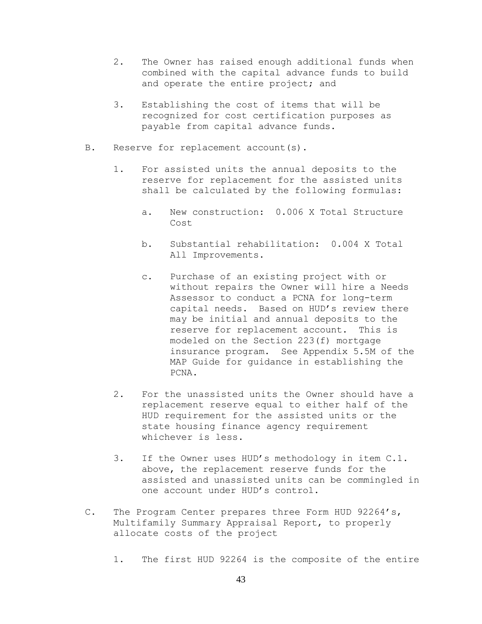- 2. The Owner has raised enough additional funds when combined with the capital advance funds to build and operate the entire project; and
- 3. Establishing the cost of items that will be recognized for cost certification purposes as payable from capital advance funds.
- B. Reserve for replacement account(s).
	- 1. For assisted units the annual deposits to the reserve for replacement for the assisted units shall be calculated by the following formulas:
		- a. New construction: 0.006 X Total Structure Cost
		- b. Substantial rehabilitation: 0.004 X Total All Improvements.
		- c. Purchase of an existing project with or without repairs the Owner will hire a Needs Assessor to conduct a PCNA for long-term capital needs. Based on HUD's review there may be initial and annual deposits to the reserve for replacement account. This is modeled on the Section 223(f) mortgage insurance program. See Appendix 5.5M of the MAP Guide for guidance in establishing the PCNA.
	- 2. For the unassisted units the Owner should have a replacement reserve equal to either half of the HUD requirement for the assisted units or the state housing finance agency requirement whichever is less.
	- 3. If the Owner uses HUD's methodology in item C.1. above, the replacement reserve funds for the assisted and unassisted units can be commingled in one account under HUD's control.
- C. The Program Center prepares three Form HUD 92264's, Multifamily Summary Appraisal Report, to properly allocate costs of the project
	- 1. The first HUD 92264 is the composite of the entire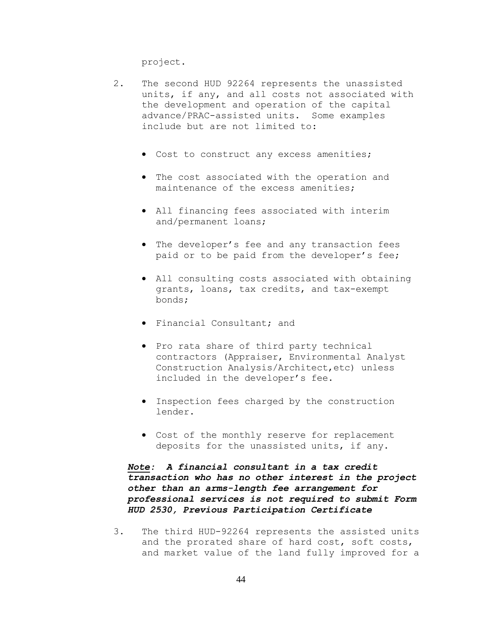project.

- 2. The second HUD 92264 represents the unassisted units, if any, and all costs not associated with the development and operation of the capital advance/PRAC-assisted units. Some examples include but are not limited to:
	- Cost to construct any excess amenities;
	- The cost associated with the operation and maintenance of the excess amenities;
	- All financing fees associated with interim and/permanent loans;
	- The developer's fee and any transaction fees paid or to be paid from the developer's fee;
	- All consulting costs associated with obtaining grants, loans, tax credits, and tax-exempt bonds;
	- Financial Consultant; and
	- Pro rata share of third party technical contractors (Appraiser, Environmental Analyst Construction Analysis/Architect,etc) unless included in the developer's fee.
	- Inspection fees charged by the construction lender.
	- Cost of the monthly reserve for replacement deposits for the unassisted units, if any.

*Note: A financial consultant in a tax credit transaction who has no other interest in the project other than an arms-length fee arrangement for professional services is not required to submit Form HUD 2530, Previous Participation Certificate*

3. The third HUD-92264 represents the assisted units and the prorated share of hard cost, soft costs, and market value of the land fully improved for a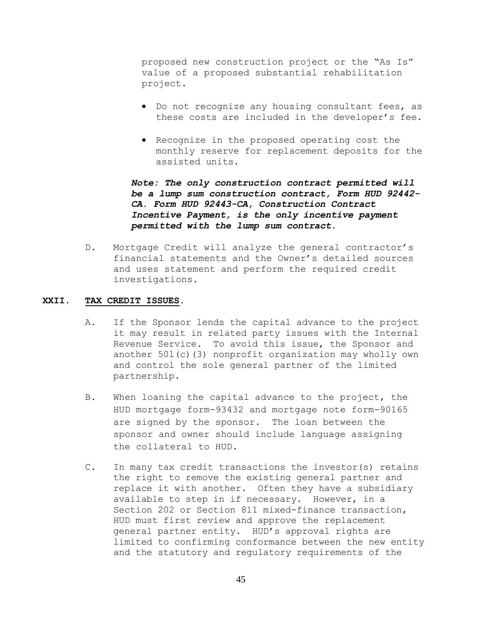proposed new construction project or the "As Is" value of a proposed substantial rehabilitation project.

- Do not recognize any housing consultant fees, as these costs are included in the developer's fee.
- Recognize in the proposed operating cost the monthly reserve for replacement deposits for the assisted units.

*Note: The only construction contract permitted will be a lump sum construction contract, Form HUD 92442- CA. Form HUD 92443-CA, Construction Contract Incentive Payment, is the only incentive payment permitted with the lump sum contract.*

D. Mortgage Credit will analyze the general contractor's financial statements and the Owner's detailed sources and uses statement and perform the required credit investigations.

### **XXII. TAX CREDIT ISSUES.**

- A. If the Sponsor lends the capital advance to the project it may result in related party issues with the Internal Revenue Service. To avoid this issue, the Sponsor and another 501(c)(3) nonprofit organization may wholly own and control the sole general partner of the limited partnership.
- B. When loaning the capital advance to the project, the HUD mortgage form-93432 and mortgage note form-90165 are signed by the sponsor. The loan between the sponsor and owner should include language assigning the collateral to HUD.
- C. In many tax credit transactions the investor(s) retains the right to remove the existing general partner and replace it with another. Often they have a subsidiary available to step in if necessary. However, in a Section 202 or Section 811 mixed-finance transaction, HUD must first review and approve the replacement general partner entity. HUD's approval rights are limited to confirming conformance between the new entity and the statutory and regulatory requirements of the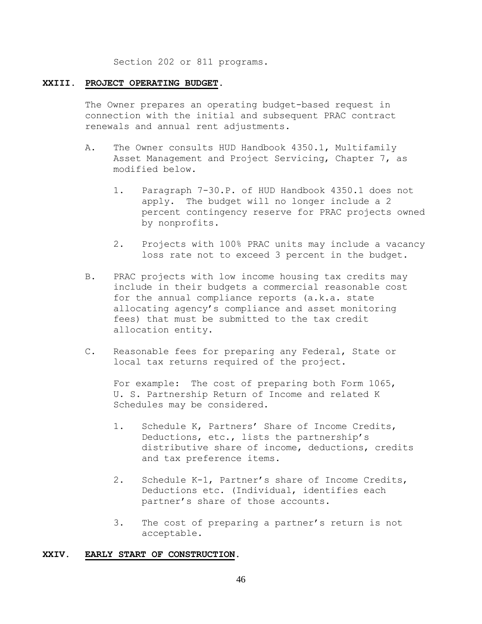Section 202 or 811 programs.

#### **XXIII. PROJECT OPERATING BUDGET.**

The Owner prepares an operating budget-based request in connection with the initial and subsequent PRAC contract renewals and annual rent adjustments.

- A. The Owner consults HUD Handbook 4350.1, Multifamily Asset Management and Project Servicing, Chapter 7, as modified below.
	- 1. Paragraph 7-30.P. of HUD Handbook 4350.1 does not apply. The budget will no longer include a 2 percent contingency reserve for PRAC projects owned by nonprofits.
	- 2. Projects with 100% PRAC units may include a vacancy loss rate not to exceed 3 percent in the budget.
- B. PRAC projects with low income housing tax credits may include in their budgets a commercial reasonable cost for the annual compliance reports (a.k.a. state allocating agency's compliance and asset monitoring fees) that must be submitted to the tax credit allocation entity.
- C. Reasonable fees for preparing any Federal, State or local tax returns required of the project.

For example: The cost of preparing both Form 1065, U. S. Partnership Return of Income and related K Schedules may be considered.

- 1. Schedule K, Partners' Share of Income Credits, Deductions, etc., lists the partnership's distributive share of income, deductions, credits and tax preference items.
- 2. Schedule K-1, Partner's share of Income Credits, Deductions etc. (Individual, identifies each partner's share of those accounts.
- 3. The cost of preparing a partner's return is not acceptable.

#### **XXIV. EARLY START OF CONSTRUCTION.**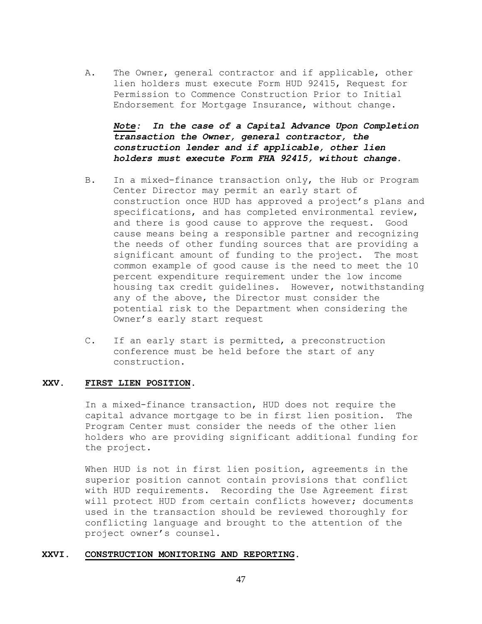A. The Owner, general contractor and if applicable, other lien holders must execute Form HUD 92415, Request for Permission to Commence Construction Prior to Initial Endorsement for Mortgage Insurance, without change.

*Note: In the case of a Capital Advance Upon Completion transaction the Owner, general contractor, the construction lender and if applicable, other lien holders must execute Form FHA 92415, without change.*

- B. In a mixed-finance transaction only, the Hub or Program Center Director may permit an early start of construction once HUD has approved a project's plans and specifications, and has completed environmental review, and there is good cause to approve the request. Good cause means being a responsible partner and recognizing the needs of other funding sources that are providing a significant amount of funding to the project. The most common example of good cause is the need to meet the 10 percent expenditure requirement under the low income housing tax credit guidelines. However, notwithstanding any of the above, the Director must consider the potential risk to the Department when considering the Owner's early start request
- C. If an early start is permitted, a preconstruction conference must be held before the start of any construction.

### **XXV. FIRST LIEN POSITION.**

In a mixed-finance transaction, HUD does not require the capital advance mortgage to be in first lien position. The Program Center must consider the needs of the other lien holders who are providing significant additional funding for the project.

When HUD is not in first lien position, agreements in the superior position cannot contain provisions that conflict with HUD requirements. Recording the Use Agreement first will protect HUD from certain conflicts however; documents used in the transaction should be reviewed thoroughly for conflicting language and brought to the attention of the project owner's counsel.

## **XXVI. CONSTRUCTION MONITORING AND REPORTING.**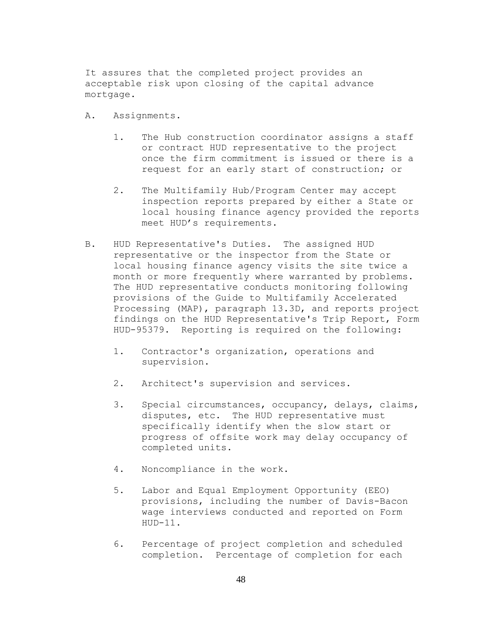It assures that the completed project provides an acceptable risk upon closing of the capital advance mortgage.

- A. Assignments.
	- 1. The Hub construction coordinator assigns a staff or contract HUD representative to the project once the firm commitment is issued or there is a request for an early start of construction; or
	- 2. The Multifamily Hub/Program Center may accept inspection reports prepared by either a State or local housing finance agency provided the reports meet HUD's requirements.
- B. HUD Representative's Duties. The assigned HUD representative or the inspector from the State or local housing finance agency visits the site twice a month or more frequently where warranted by problems. The HUD representative conducts monitoring following provisions of the Guide to Multifamily Accelerated Processing (MAP), paragraph 13.3D, and reports project findings on the HUD Representative's Trip Report, Form HUD-95379. Reporting is required on the following:
	- 1. Contractor's organization, operations and supervision.
	- 2. Architect's supervision and services.
	- 3. Special circumstances, occupancy, delays, claims, disputes, etc. The HUD representative must specifically identify when the slow start or progress of offsite work may delay occupancy of completed units.
	- 4. Noncompliance in the work.
	- 5. Labor and Equal Employment Opportunity (EEO) provisions, including the number of Davis-Bacon wage interviews conducted and reported on Form  $HID-11$ .
	- 6. Percentage of project completion and scheduled completion. Percentage of completion for each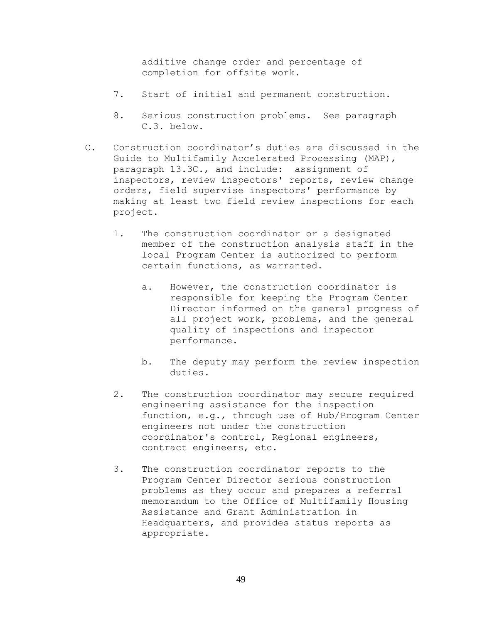additive change order and percentage of completion for offsite work.

- 7. Start of initial and permanent construction.
- 8. Serious construction problems. See paragraph C.3. below.
- C. Construction coordinator's duties are discussed in the Guide to Multifamily Accelerated Processing (MAP), paragraph 13.3C., and include: assignment of inspectors, review inspectors' reports, review change orders, field supervise inspectors' performance by making at least two field review inspections for each project.
	- 1. The construction coordinator or a designated member of the construction analysis staff in the local Program Center is authorized to perform certain functions, as warranted.
		- a. However, the construction coordinator is responsible for keeping the Program Center Director informed on the general progress of all project work, problems, and the general quality of inspections and inspector performance.
		- b. The deputy may perform the review inspection duties.
	- 2. The construction coordinator may secure required engineering assistance for the inspection function, e.g., through use of Hub/Program Center engineers not under the construction coordinator's control, Regional engineers, contract engineers, etc.
	- 3. The construction coordinator reports to the Program Center Director serious construction problems as they occur and prepares a referral memorandum to the Office of Multifamily Housing Assistance and Grant Administration in Headquarters, and provides status reports as appropriate.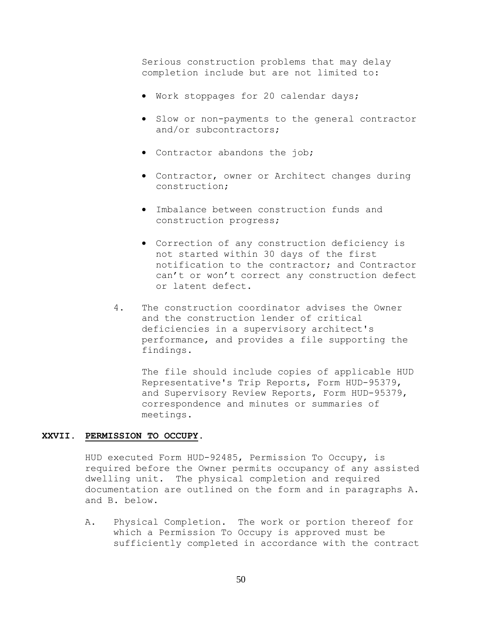Serious construction problems that may delay completion include but are not limited to:

- Work stoppages for 20 calendar days;
- Slow or non-payments to the general contractor and/or subcontractors;
- Contractor abandons the job;
- Contractor, owner or Architect changes during construction;
- Imbalance between construction funds and construction progress;
- Correction of any construction deficiency is not started within 30 days of the first notification to the contractor; and Contractor can't or won't correct any construction defect or latent defect.
- 4. The construction coordinator advises the Owner and the construction lender of critical deficiencies in a supervisory architect's performance, and provides a file supporting the findings.

The file should include copies of applicable HUD Representative's Trip Reports, Form HUD-95379, and Supervisory Review Reports, Form HUD-95379, correspondence and minutes or summaries of meetings.

### **XXVII. PERMISSION TO OCCUPY.**

HUD executed Form HUD-92485, Permission To Occupy, is required before the Owner permits occupancy of any assisted dwelling unit. The physical completion and required documentation are outlined on the form and in paragraphs A. and B. below.

A. Physical Completion. The work or portion thereof for which a Permission To Occupy is approved must be sufficiently completed in accordance with the contract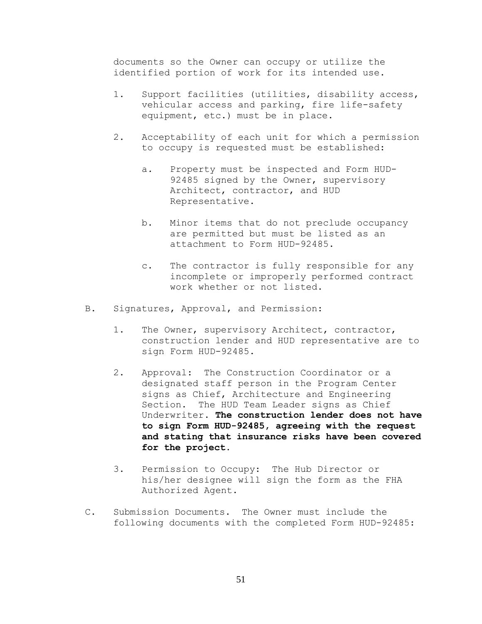documents so the Owner can occupy or utilize the identified portion of work for its intended use.

- 1. Support facilities (utilities, disability access, vehicular access and parking, fire life-safety equipment, etc.) must be in place.
- 2. Acceptability of each unit for which a permission to occupy is requested must be established:
	- a*.* Property must be inspected and Form HUD-92485 signed by the Owner, supervisory Architect, contractor, and HUD Representative.
	- b. Minor items that do not preclude occupancy are permitted but must be listed as an attachment to Form HUD-92485.
	- c. The contractor is fully responsible for any incomplete or improperly performed contract work whether or not listed.
- B. Signatures, Approval, and Permission:
	- 1. The Owner, supervisory Architect, contractor, construction lender and HUD representative are to sign Form HUD-92485.
	- 2. Approval: The Construction Coordinator or a designated staff person in the Program Center signs as Chief, Architecture and Engineering Section. The HUD Team Leader signs as Chief Underwriter. **The construction lender does not have to sign Form HUD-92485, agreeing with the request and stating that insurance risks have been covered for the project.**
	- 3. Permission to Occupy: The Hub Director or his/her designee will sign the form as the FHA Authorized Agent.
- C. Submission Documents. The Owner must include the following documents with the completed Form HUD-92485: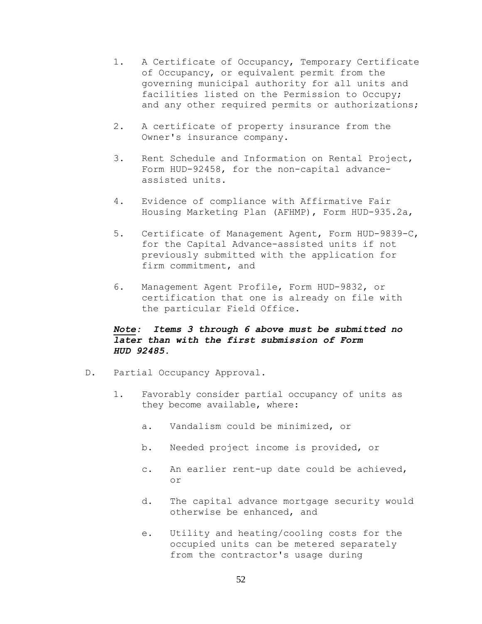- 1. A Certificate of Occupancy, Temporary Certificate of Occupancy, or equivalent permit from the governing municipal authority for all units and facilities listed on the Permission to Occupy; and any other required permits or authorizations;
- 2. A certificate of property insurance from the Owner's insurance company.
- 3. Rent Schedule and Information on Rental Project, Form HUD-92458, for the non-capital advanceassisted units.
- 4. Evidence of compliance with Affirmative Fair Housing Marketing Plan (AFHMP), Form HUD-935.2a,
- 5. Certificate of Management Agent, Form HUD-9839-C, for the Capital Advance-assisted units if not previously submitted with the application for firm commitment, and
- 6. Management Agent Profile, Form HUD-9832, or certification that one is already on file with the particular Field Office.

# *Note: Items 3 through 6 above must be submitted no later than with the first submission of Form HUD 92485.*

- D. Partial Occupancy Approval.
	- 1. Favorably consider partial occupancy of units as they become available, where:
		- a. Vandalism could be minimized, or
		- b. Needed project income is provided, or
		- c. An earlier rent-up date could be achieved, or
		- d. The capital advance mortgage security would otherwise be enhanced, and
		- e. Utility and heating/cooling costs for the occupied units can be metered separately from the contractor's usage during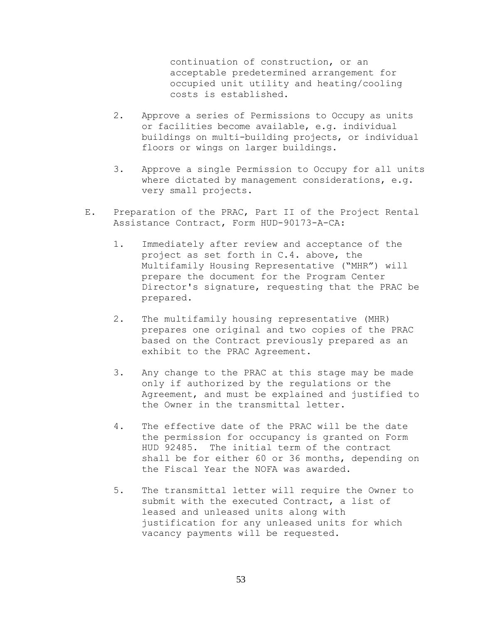continuation of construction, or an acceptable predetermined arrangement for occupied unit utility and heating/cooling costs is established.

- 2. Approve a series of Permissions to Occupy as units or facilities become available, e.g. individual buildings on multi-building projects, or individual floors or wings on larger buildings.
- 3. Approve a single Permission to Occupy for all units where dictated by management considerations, e.g. very small projects.
- E. Preparation of the PRAC, Part II of the Project Rental Assistance Contract, Form HUD-90173-A-CA:
	- 1. Immediately after review and acceptance of the project as set forth in C.4. above, the Multifamily Housing Representative ("MHR") will prepare the document for the Program Center Director's signature, requesting that the PRAC be prepared.
	- 2. The multifamily housing representative (MHR) prepares one original and two copies of the PRAC based on the Contract previously prepared as an exhibit to the PRAC Agreement.
	- 3. Any change to the PRAC at this stage may be made only if authorized by the regulations or the Agreement, and must be explained and justified to the Owner in the transmittal letter.
	- 4. The effective date of the PRAC will be the date the permission for occupancy is granted on Form HUD 92485. The initial term of the contract shall be for either 60 or 36 months, depending on the Fiscal Year the NOFA was awarded.
	- 5. The transmittal letter will require the Owner to submit with the executed Contract, a list of leased and unleased units along with justification for any unleased units for which vacancy payments will be requested.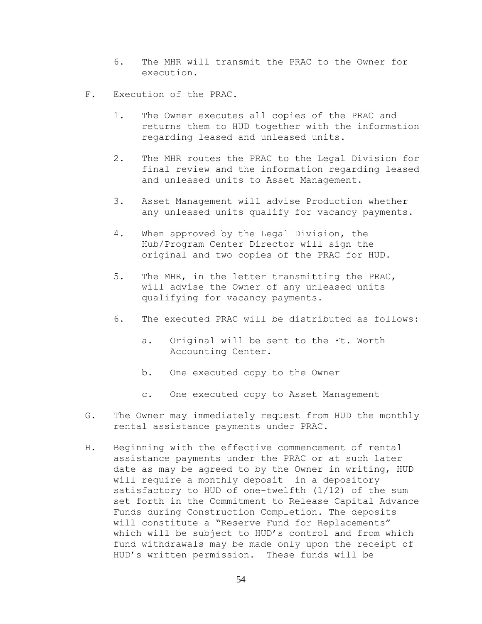- 6. The MHR will transmit the PRAC to the Owner for execution.
- F. Execution of the PRAC.
	- 1. The Owner executes all copies of the PRAC and returns them to HUD together with the information regarding leased and unleased units.
	- 2. The MHR routes the PRAC to the Legal Division for final review and the information regarding leased and unleased units to Asset Management.
	- 3. Asset Management will advise Production whether any unleased units qualify for vacancy payments.
	- 4. When approved by the Legal Division, the Hub/Program Center Director will sign the original and two copies of the PRAC for HUD.
	- 5. The MHR, in the letter transmitting the PRAC, will advise the Owner of any unleased units qualifying for vacancy payments.
	- 6. The executed PRAC will be distributed as follows:
		- a. Original will be sent to the Ft. Worth Accounting Center.
		- b. One executed copy to the Owner
		- c. One executed copy to Asset Management
- G. The Owner may immediately request from HUD the monthly rental assistance payments under PRAC.
- H. Beginning with the effective commencement of rental assistance payments under the PRAC or at such later date as may be agreed to by the Owner in writing, HUD will require a monthly deposit in a depository satisfactory to HUD of one-twelfth (1/12) of the sum set forth in the Commitment to Release Capital Advance Funds during Construction Completion. The deposits will constitute a "Reserve Fund for Replacements" which will be subject to HUD's control and from which fund withdrawals may be made only upon the receipt of HUD's written permission. These funds will be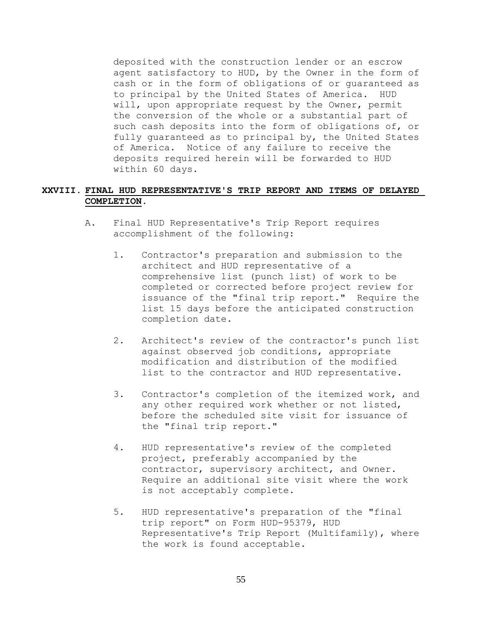deposited with the construction lender or an escrow agent satisfactory to HUD, by the Owner in the form of cash or in the form of obligations of or guaranteed as to principal by the United States of America. HUD will, upon appropriate request by the Owner, permit the conversion of the whole or a substantial part of such cash deposits into the form of obligations of, or fully guaranteed as to principal by, the United States of America. Notice of any failure to receive the deposits required herein will be forwarded to HUD within 60 days.

# **XXVIII. FINAL HUD REPRESENTATIVE'S TRIP REPORT AND ITEMS OF DELAYED COMPLETION.**

- A. Final HUD Representative's Trip Report requires accomplishment of the following:
	- 1. Contractor's preparation and submission to the architect and HUD representative of a comprehensive list (punch list) of work to be completed or corrected before project review for issuance of the "final trip report." Require the list 15 days before the anticipated construction completion date.
	- 2. Architect's review of the contractor's punch list against observed job conditions, appropriate modification and distribution of the modified list to the contractor and HUD representative.
	- 3. Contractor's completion of the itemized work, and any other required work whether or not listed, before the scheduled site visit for issuance of the "final trip report."
	- 4. HUD representative's review of the completed project, preferably accompanied by the contractor, supervisory architect, and Owner. Require an additional site visit where the work is not acceptably complete.
	- 5. HUD representative's preparation of the "final trip report" on Form HUD-95379, HUD Representative's Trip Report (Multifamily), where the work is found acceptable.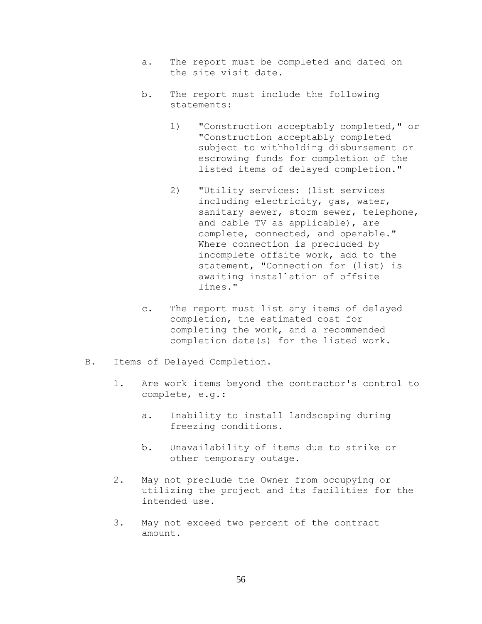- a. The report must be completed and dated on the site visit date.
- b. The report must include the following statements:
	- 1) "Construction acceptably completed," or "Construction acceptably completed subject to withholding disbursement or escrowing funds for completion of the listed items of delayed completion."
	- 2) "Utility services: (list services including electricity, gas, water, sanitary sewer, storm sewer, telephone, and cable TV as applicable), are complete, connected, and operable." Where connection is precluded by incomplete offsite work, add to the statement, "Connection for (list) is awaiting installation of offsite lines."
- c. The report must list any items of delayed completion, the estimated cost for completing the work, and a recommended completion date(s) for the listed work.
- B. Items of Delayed Completion.
	- 1. Are work items beyond the contractor's control to complete, e.g.:
		- a. Inability to install landscaping during freezing conditions.
		- b. Unavailability of items due to strike or other temporary outage.
	- 2. May not preclude the Owner from occupying or utilizing the project and its facilities for the intended use.
	- 3. May not exceed two percent of the contract amount.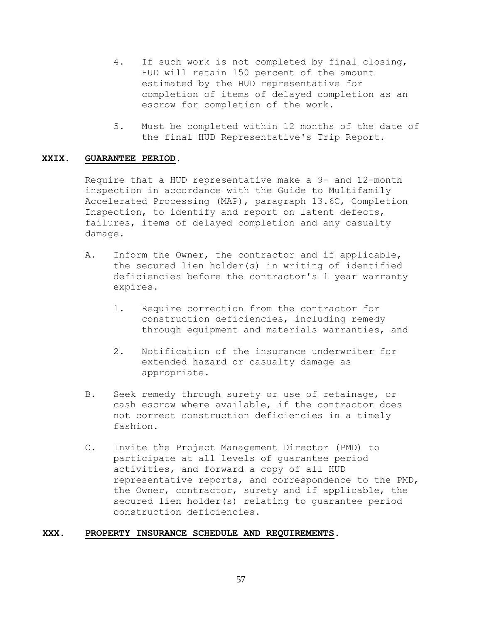- 4. If such work is not completed by final closing, HUD will retain 150 percent of the amount estimated by the HUD representative for completion of items of delayed completion as an escrow for completion of the work.
- 5. Must be completed within 12 months of the date of the final HUD Representative's Trip Report.

# **XXIX. GUARANTEE PERIOD.**

Require that a HUD representative make a 9- and 12-month inspection in accordance with the Guide to Multifamily Accelerated Processing (MAP), paragraph 13.6C, Completion Inspection, to identify and report on latent defects, failures, items of delayed completion and any casualty damage.

- A. Inform the Owner, the contractor and if applicable, the secured lien holder(s) in writing of identified deficiencies before the contractor's 1 year warranty expires.
	- 1. Require correction from the contractor for construction deficiencies, including remedy through equipment and materials warranties, and
	- 2. Notification of the insurance underwriter for extended hazard or casualty damage as appropriate.
- B. Seek remedy through surety or use of retainage, or cash escrow where available, if the contractor does not correct construction deficiencies in a timely fashion.
- C. Invite the Project Management Director (PMD) to participate at all levels of guarantee period activities, and forward a copy of all HUD representative reports, and correspondence to the PMD, the Owner, contractor, surety and if applicable, the secured lien holder(s) relating to guarantee period construction deficiencies.

# **XXX. PROPERTY INSURANCE SCHEDULE AND REQUIREMENTS.**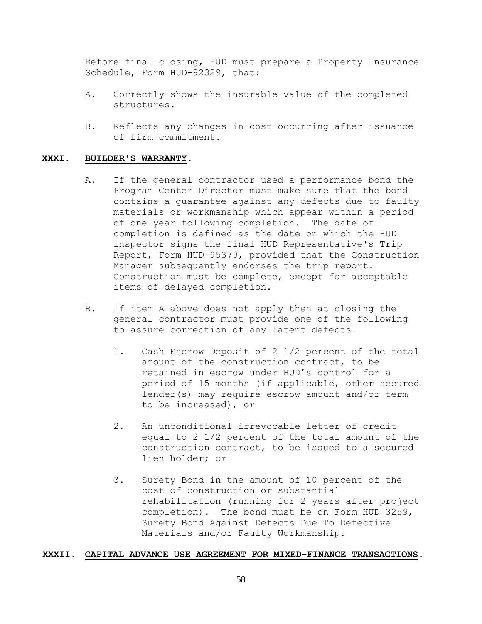Before final closing, HUD must prepare a Property Insurance Schedule, Form HUD-92329, that:

- A. Correctly shows the insurable value of the completed structures.
- B. Reflects any changes in cost occurring after issuance of firm commitment.

### **XXXI. BUILDER'S WARRANTY.**

- A. If the general contractor used a performance bond the Program Center Director must make sure that the bond contains a guarantee against any defects due to faulty materials or workmanship which appear within a period of one year following completion. The date of completion is defined as the date on which the HUD inspector signs the final HUD Representative's Trip Report, Form HUD-95379, provided that the Construction Manager subsequently endorses the trip report. Construction must be complete, except for acceptable items of delayed completion.
- B. If item A above does not apply then at closing the general contractor must provide one of the following to assure correction of any latent defects.
	- 1. Cash Escrow Deposit of 2 1/2 percent of the total amount of the construction contract, to be retained in escrow under HUD's control for a period of 15 months (if applicable, other secured lender(s) may require escrow amount and/or term to be increased), or
	- 2. An unconditional irrevocable letter of credit equal to 2 1/2 percent of the total amount of the construction contract, to be issued to a secured lien holder; or
	- 3. Surety Bond in the amount of 10 percent of the cost of construction or substantial rehabilitation (running for 2 years after project completion). The bond must be on Form HUD 3259, Surety Bond Against Defects Due To Defective Materials and/or Faulty Workmanship.

# **XXXII. CAPITAL ADVANCE USE AGREEMENT FOR MIXED-FINANCE TRANSACTIONS.**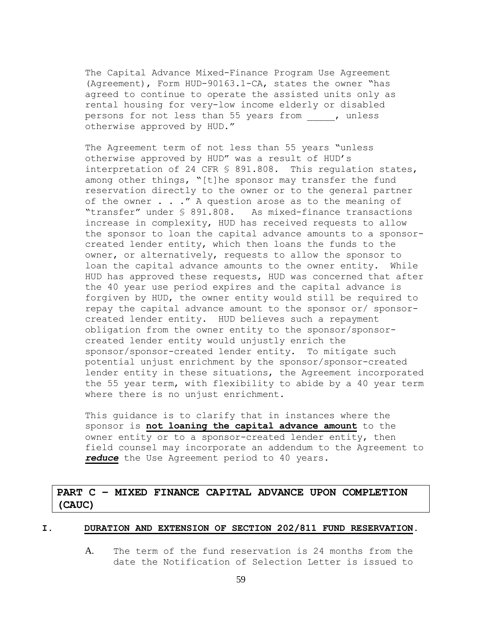The Capital Advance Mixed-Finance Program Use Agreement (Agreement), Form HUD-90163.1-CA, states the owner "has agreed to continue to operate the assisted units only as rental housing for very-low income elderly or disabled persons for not less than 55 years from . unless otherwise approved by HUD."

The Agreement term of not less than 55 years "unless otherwise approved by HUD" was a result of HUD's interpretation of 24 CFR § 891.808. This regulation states, among other things, "[t]he sponsor may transfer the fund reservation directly to the owner or to the general partner of the owner  $\ldots$  ." A question arose as to the meaning of "transfer" under § 891.808. As mixed-finance transactions increase in complexity, HUD has received requests to allow the sponsor to loan the capital advance amounts to a sponsorcreated lender entity, which then loans the funds to the owner, or alternatively, requests to allow the sponsor to loan the capital advance amounts to the owner entity. While HUD has approved these requests, HUD was concerned that after the 40 year use period expires and the capital advance is forgiven by HUD, the owner entity would still be required to repay the capital advance amount to the sponsor or/ sponsorcreated lender entity. HUD believes such a repayment obligation from the owner entity to the sponsor/sponsorcreated lender entity would unjustly enrich the sponsor/sponsor-created lender entity. To mitigate such potential unjust enrichment by the sponsor/sponsor-created lender entity in these situations, the Agreement incorporated the 55 year term, with flexibility to abide by a 40 year term where there is no unjust enrichment.

This guidance is to clarify that in instances where the sponsor is **not loaning the capital advance amount** to the owner entity or to a sponsor-created lender entity, then field counsel may incorporate an addendum to the Agreement to *reduce* the Use Agreement period to 40 years.

**PART C – MIXED FINANCE CAPITAL ADVANCE UPON COMPLETION (CAUC)**

### **I. DURATION AND EXTENSION OF SECTION 202/811 FUND RESERVATION.**

A. The term of the fund reservation is 24 months from the date the Notification of Selection Letter is issued to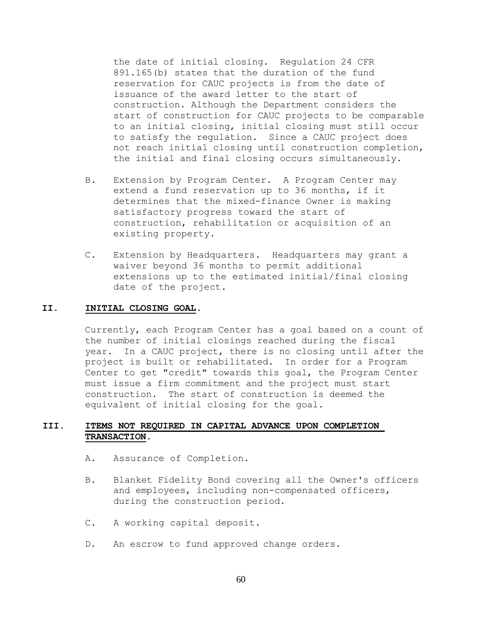the date of initial closing. Regulation 24 CFR 891.165(b) states that the duration of the fund reservation for CAUC projects is from the date of issuance of the award letter to the start of construction. Although the Department considers the start of construction for CAUC projects to be comparable to an initial closing, initial closing must still occur to satisfy the regulation. Since a CAUC project does not reach initial closing until construction completion, the initial and final closing occurs simultaneously.

- B. Extension by Program Center. A Program Center may extend a fund reservation up to 36 months, if it determines that the mixed-finance Owner is making satisfactory progress toward the start of construction, rehabilitation or acquisition of an existing property.
- C. Extension by Headquarters. Headquarters may grant a waiver beyond 36 months to permit additional extensions up to the estimated initial/final closing date of the project.

## **II. INITIAL CLOSING GOAL.**

Currently, each Program Center has a goal based on a count of the number of initial closings reached during the fiscal year. In a CAUC project, there is no closing until after the project is built or rehabilitated. In order for a Program Center to get "credit" towards this goal, the Program Center must issue a firm commitment and the project must start construction. The start of construction is deemed the equivalent of initial closing for the goal.

# **III. ITEMS NOT REQUIRED IN CAPITAL ADVANCE UPON COMPLETION TRANSACTION.**

- A. Assurance of Completion.
- B. Blanket Fidelity Bond covering all the Owner's officers and employees, including non-compensated officers, during the construction period.
- C. A working capital deposit.
- D. An escrow to fund approved change orders.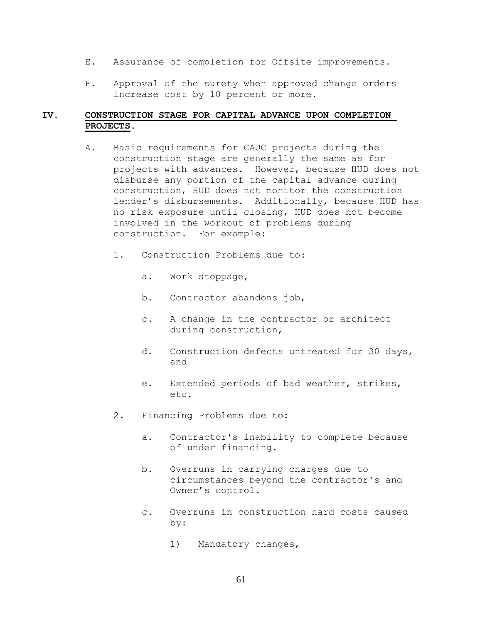- E. Assurance of completion for Offsite improvements.
- F. Approval of the surety when approved change orders increase cost by 10 percent or more.

# **IV. CONSTRUCTION STAGE FOR CAPITAL ADVANCE UPON COMPLETION PROJECTS.**

- A. Basic requirements for CAUC projects during the construction stage are generally the same as for projects with advances. However, because HUD does not disburse any portion of the capital advance during construction, HUD does not monitor the construction lender's disbursements. Additionally, because HUD has no risk exposure until closing, HUD does not become involved in the workout of problems during construction. For example:
	- 1. Construction Problems due to:
		- a. Work stoppage,
		- b. Contractor abandons job,
		- c. A change in the contractor or architect during construction,
		- d. Construction defects untreated for 30 days, and
		- e. Extended periods of bad weather, strikes, etc.
	- 2. Financing Problems due to:
		- a. Contractor's inability to complete because of under financing.
		- b. Overruns in carrying charges due to circumstances beyond the contractor's and Owner's control.
		- c. Overruns in construction hard costs caused by:
			- 1) Mandatory changes,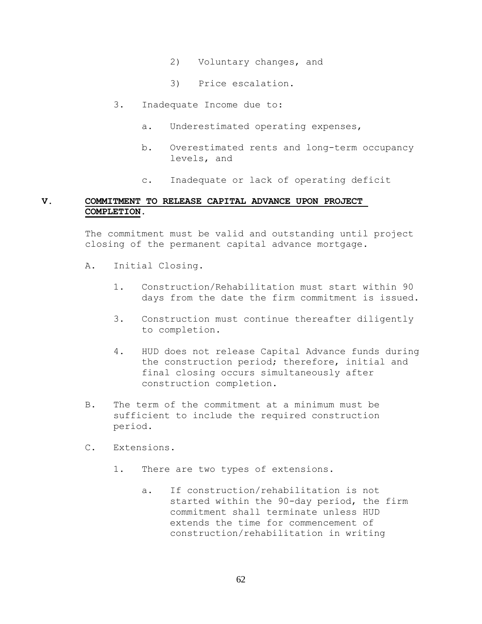- 2) Voluntary changes, and
- 3) Price escalation.
- 3. Inadequate Income due to:
	- a. Underestimated operating expenses,
	- b. Overestimated rents and long-term occupancy levels, and
	- c. Inadequate or lack of operating deficit

# **V. COMMITMENT TO RELEASE CAPITAL ADVANCE UPON PROJECT COMPLETION.**

The commitment must be valid and outstanding until project closing of the permanent capital advance mortgage.

- A. Initial Closing.
	- 1. Construction/Rehabilitation must start within 90 days from the date the firm commitment is issued.
	- 3. Construction must continue thereafter diligently to completion.
	- 4. HUD does not release Capital Advance funds during the construction period; therefore, initial and final closing occurs simultaneously after construction completion.
- B. The term of the commitment at a minimum must be sufficient to include the required construction period.
- C. Extensions.
	- 1. There are two types of extensions.
		- a. If construction/rehabilitation is not started within the 90-day period, the firm commitment shall terminate unless HUD extends the time for commencement of construction/rehabilitation in writing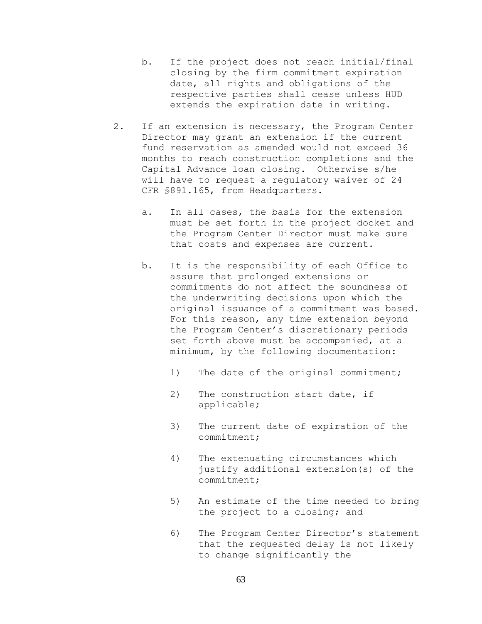- b. If the project does not reach initial/final closing by the firm commitment expiration date, all rights and obligations of the respective parties shall cease unless HUD extends the expiration date in writing.
- 2. If an extension is necessary, the Program Center Director may grant an extension if the current fund reservation as amended would not exceed 36 months to reach construction completions and the Capital Advance loan closing. Otherwise s/he will have to request a regulatory waiver of 24 CFR §891.165, from Headquarters.
	- a. In all cases, the basis for the extension must be set forth in the project docket and the Program Center Director must make sure that costs and expenses are current.
	- b. It is the responsibility of each Office to assure that prolonged extensions or commitments do not affect the soundness of the underwriting decisions upon which the original issuance of a commitment was based. For this reason, any time extension beyond the Program Center's discretionary periods set forth above must be accompanied, at a minimum, by the following documentation:
		- 1) The date of the original commitment;
		- 2) The construction start date, if applicable;
		- 3) The current date of expiration of the commitment;
		- 4) The extenuating circumstances which justify additional extension(s) of the commitment;
		- 5) An estimate of the time needed to bring the project to a closing; and
		- 6) The Program Center Director's statement that the requested delay is not likely to change significantly the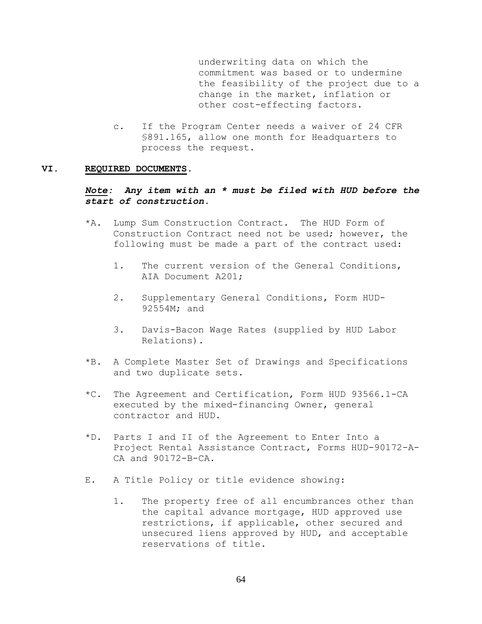underwriting data on which the commitment was based or to undermine the feasibility of the project due to a change in the market, inflation or other cost-effecting factors.

c. If the Program Center needs a waiver of 24 CFR §891.165, allow one month for Headquarters to process the request.

#### **VI. REQUIRED DOCUMENTS.**

# *Note: Any item with an \* must be filed with HUD before the start of construction.*

- \*A. Lump Sum Construction Contract. The HUD Form of Construction Contract need not be used; however, the following must be made a part of the contract used:
	- 1. The current version of the General Conditions, AIA Document A201;
	- 2. Supplementary General Conditions, Form HUD-92554M; and
	- 3. Davis-Bacon Wage Rates (supplied by HUD Labor Relations).
- \*B. A Complete Master Set of Drawings and Specifications and two duplicate sets.
- \*C. The Agreement and Certification, Form HUD 93566.1-CA executed by the mixed-financing Owner, general contractor and HUD.
- \*D. Parts I and II of the Agreement to Enter Into a Project Rental Assistance Contract, Forms HUD-90172-A-CA and 90172-B-CA.
- E. A Title Policy or title evidence showing:
	- 1. The property free of all encumbrances other than the capital advance mortgage, HUD approved use restrictions, if applicable, other secured and unsecured liens approved by HUD, and acceptable reservations of title.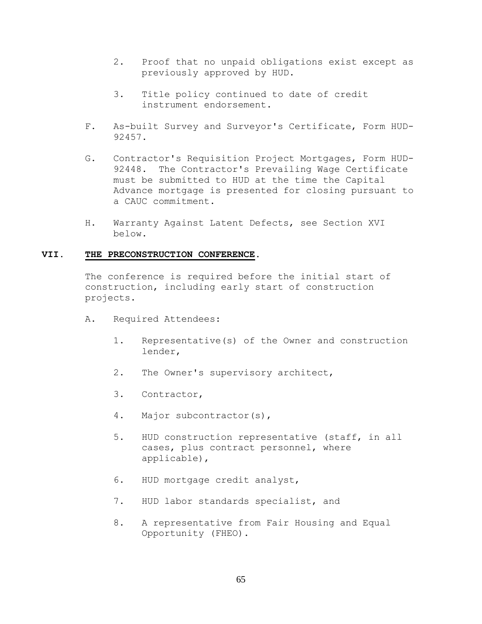- 2. Proof that no unpaid obligations exist except as previously approved by HUD.
- 3. Title policy continued to date of credit instrument endorsement.
- F. As-built Survey and Surveyor's Certificate, Form HUD-92457.
- G. Contractor's Requisition Project Mortgages, Form HUD-92448. The Contractor's Prevailing Wage Certificate must be submitted to HUD at the time the Capital Advance mortgage is presented for closing pursuant to a CAUC commitment.
- H. Warranty Against Latent Defects, see Section XVI below.

### **VII. THE PRECONSTRUCTION CONFERENCE.**

The conference is required before the initial start of construction, including early start of construction projects.

- A. Required Attendees:
	- 1. Representative(s) of the Owner and construction lender,
	- 2. The Owner's supervisory architect,
	- 3. Contractor,
	- 4. Major subcontractor(s),
	- 5. HUD construction representative (staff, in all cases, plus contract personnel, where applicable),
	- 6. HUD mortgage credit analyst,
	- 7. HUD labor standards specialist, and
	- 8. A representative from Fair Housing and Equal Opportunity (FHEO).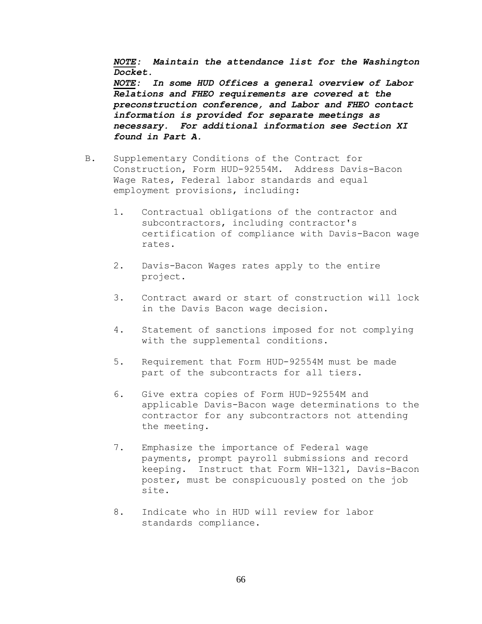*NOTE: Maintain the attendance list for the Washington Docket. NOTE: In some HUD Offices a general overview of Labor Relations and FHEO requirements are covered at the preconstruction conference, and Labor and FHEO contact information is provided for separate meetings as necessary. For additional information see Section XI found in Part A.*

- B. Supplementary Conditions of the Contract for Construction, Form HUD-92554M. Address Davis-Bacon Wage Rates, Federal labor standards and equal employment provisions, including:
	- 1. Contractual obligations of the contractor and subcontractors, including contractor's certification of compliance with Davis-Bacon wage rates.
	- 2. Davis-Bacon Wages rates apply to the entire project.
	- 3. Contract award or start of construction will lock in the Davis Bacon wage decision.
	- 4. Statement of sanctions imposed for not complying with the supplemental conditions.
	- 5. Requirement that Form HUD-92554M must be made part of the subcontracts for all tiers.
	- 6. Give extra copies of Form HUD-92554M and applicable Davis-Bacon wage determinations to the contractor for any subcontractors not attending the meeting.
	- 7. Emphasize the importance of Federal wage payments, prompt payroll submissions and record keeping. Instruct that Form WH-1321, Davis-Bacon poster, must be conspicuously posted on the job site.
	- 8. Indicate who in HUD will review for labor standards compliance.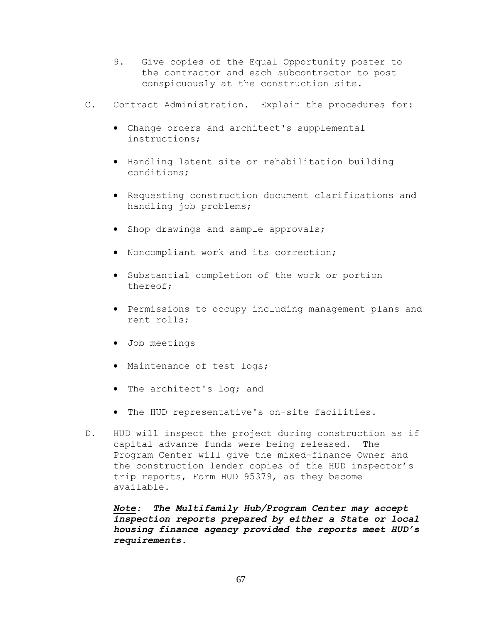- 9. Give copies of the Equal Opportunity poster to the contractor and each subcontractor to post conspicuously at the construction site.
- C. Contract Administration. Explain the procedures for:
	- Change orders and architect's supplemental instructions;
	- Handling latent site or rehabilitation building conditions;
	- Requesting construction document clarifications and handling job problems;
	- Shop drawings and sample approvals;
	- Noncompliant work and its correction;
	- Substantial completion of the work or portion thereof;
	- Permissions to occupy including management plans and rent rolls;
	- Job meetings
	- Maintenance of test logs;
	- The architect's log; and
	- The HUD representative's on-site facilities.
- D. HUD will inspect the project during construction as if capital advance funds were being released. The Program Center will give the mixed-finance Owner and the construction lender copies of the HUD inspector's trip reports, Form HUD 95379, as they become available.

*Note: The Multifamily Hub/Program Center may accept inspection reports prepared by either a State or local housing finance agency provided the reports meet HUD's requirements.*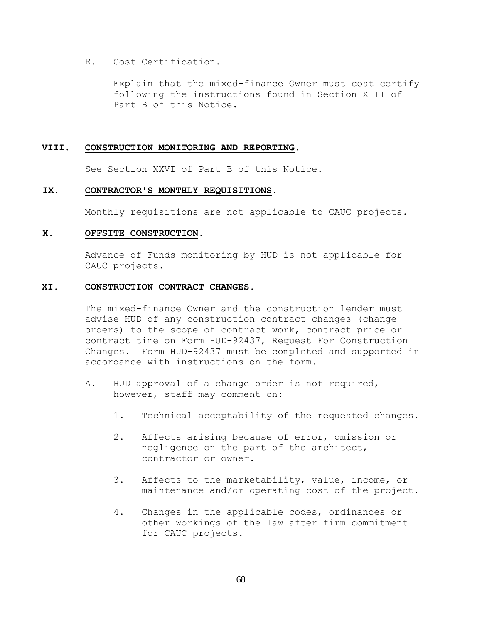E. Cost Certification.

Explain that the mixed-finance Owner must cost certify following the instructions found in Section XIII of Part B of this Notice.

### **VIII. CONSTRUCTION MONITORING AND REPORTING.**

See Section XXVI of Part B of this Notice.

## **IX. CONTRACTOR'S MONTHLY REQUISITIONS.**

Monthly requisitions are not applicable to CAUC projects.

### **X. OFFSITE CONSTRUCTION.**

Advance of Funds monitoring by HUD is not applicable for CAUC projects.

#### **XI. CONSTRUCTION CONTRACT CHANGES.**

The mixed-finance Owner and the construction lender must advise HUD of any construction contract changes (change orders) to the scope of contract work, contract price or contract time on Form HUD-92437, Request For Construction Changes. Form HUD-92437 must be completed and supported in accordance with instructions on the form.

- A. HUD approval of a change order is not required, however, staff may comment on:
	- 1. Technical acceptability of the requested changes.
	- 2. Affects arising because of error, omission or negligence on the part of the architect, contractor or owner.
	- 3. Affects to the marketability, value, income, or maintenance and/or operating cost of the project.
	- 4. Changes in the applicable codes, ordinances or other workings of the law after firm commitment for CAUC projects.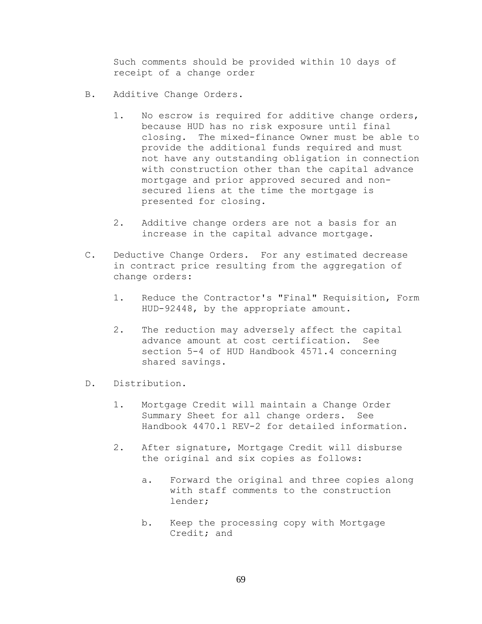Such comments should be provided within 10 days of receipt of a change order

- B. Additive Change Orders.
	- 1. No escrow is required for additive change orders, because HUD has no risk exposure until final closing. The mixed-finance Owner must be able to provide the additional funds required and must not have any outstanding obligation in connection with construction other than the capital advance mortgage and prior approved secured and nonsecured liens at the time the mortgage is presented for closing.
	- 2. Additive change orders are not a basis for an increase in the capital advance mortgage.
- C. Deductive Change Orders. For any estimated decrease in contract price resulting from the aggregation of change orders:
	- 1. Reduce the Contractor's "Final" Requisition, Form HUD-92448, by the appropriate amount.
	- 2. The reduction may adversely affect the capital advance amount at cost certification. See section 5-4 of HUD Handbook 4571.4 concerning shared savings.
- D. Distribution.
	- 1. Mortgage Credit will maintain a Change Order Summary Sheet for all change orders. See Handbook 4470.1 REV-2 for detailed information.
	- 2. After signature, Mortgage Credit will disburse the original and six copies as follows:
		- a. Forward the original and three copies along with staff comments to the construction lender;
		- b. Keep the processing copy with Mortgage Credit; and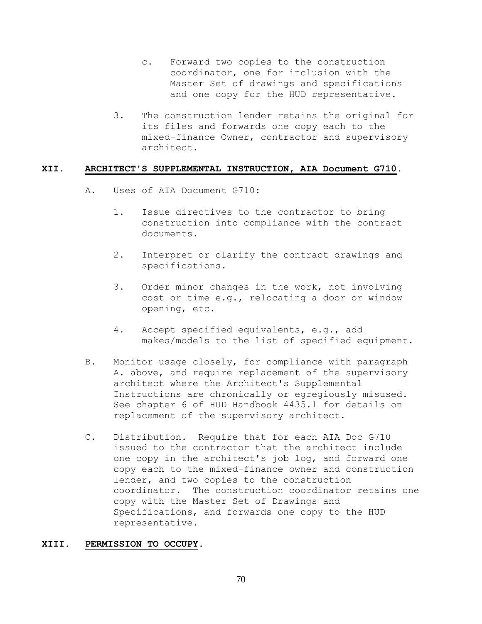- c. Forward two copies to the construction coordinator, one for inclusion with the Master Set of drawings and specifications and one copy for the HUD representative.
- 3. The construction lender retains the original for its files and forwards one copy each to the mixed-finance Owner, contractor and supervisory architect.

## **XII. ARCHITECT'S SUPPLEMENTAL INSTRUCTION, AIA Document G710.**

- A. Uses of AIA Document G710:
	- 1. Issue directives to the contractor to bring construction into compliance with the contract documents.
	- 2. Interpret or clarify the contract drawings and specifications.
	- 3. Order minor changes in the work, not involving cost or time e.g., relocating a door or window opening, etc.
	- 4. Accept specified equivalents, e.g., add makes/models to the list of specified equipment.
- B. Monitor usage closely, for compliance with paragraph A. above, and require replacement of the supervisory architect where the Architect's Supplemental Instructions are chronically or egregiously misused. See chapter 6 of HUD Handbook 4435.1 for details on replacement of the supervisory architect.
- C. Distribution. Require that for each AIA Doc G710 issued to the contractor that the architect include one copy in the architect's job log, and forward one copy each to the mixed-finance owner and construction lender, and two copies to the construction coordinator. The construction coordinator retains one copy with the Master Set of Drawings and Specifications, and forwards one copy to the HUD representative.

## **XIII. PERMISSION TO OCCUPY.**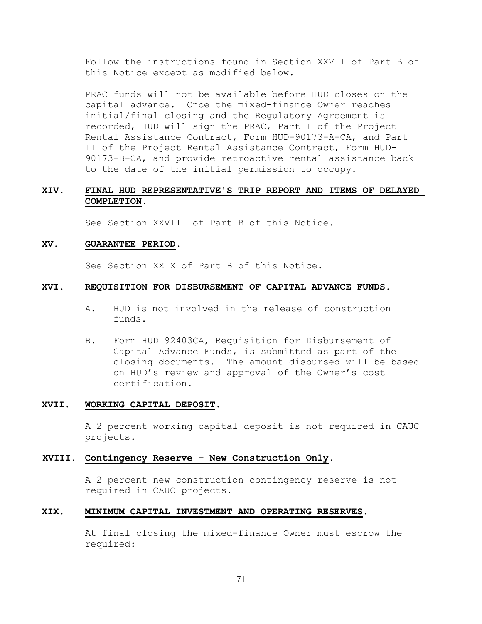Follow the instructions found in Section XXVII of Part B of this Notice except as modified below.

PRAC funds will not be available before HUD closes on the capital advance. Once the mixed-finance Owner reaches initial/final closing and the Regulatory Agreement is recorded, HUD will sign the PRAC, Part I of the Project Rental Assistance Contract, Form HUD-90173-A-CA, and Part II of the Project Rental Assistance Contract, Form HUD-90173-B-CA, and provide retroactive rental assistance back to the date of the initial permission to occupy.

# **XIV. FINAL HUD REPRESENTATIVE'S TRIP REPORT AND ITEMS OF DELAYED COMPLETION.**

See Section XXVIII of Part B of this Notice.

#### **XV. GUARANTEE PERIOD.**

See Section XXIX of Part B of this Notice.

#### **XVI. REQUISITION FOR DISBURSEMENT OF CAPITAL ADVANCE FUNDS.**

- A. HUD is not involved in the release of construction funds.
- B. Form HUD 92403CA, Requisition for Disbursement of Capital Advance Funds, is submitted as part of the closing documents. The amount disbursed will be based on HUD's review and approval of the Owner's cost certification.

#### **XVII. WORKING CAPITAL DEPOSIT.**

A 2 percent working capital deposit is not required in CAUC projects.

#### **XVIII. Contingency Reserve – New Construction Only.**

A 2 percent new construction contingency reserve is not required in CAUC projects.

### **XIX. MINIMUM CAPITAL INVESTMENT AND OPERATING RESERVES.**

At final closing the mixed-finance Owner must escrow the required: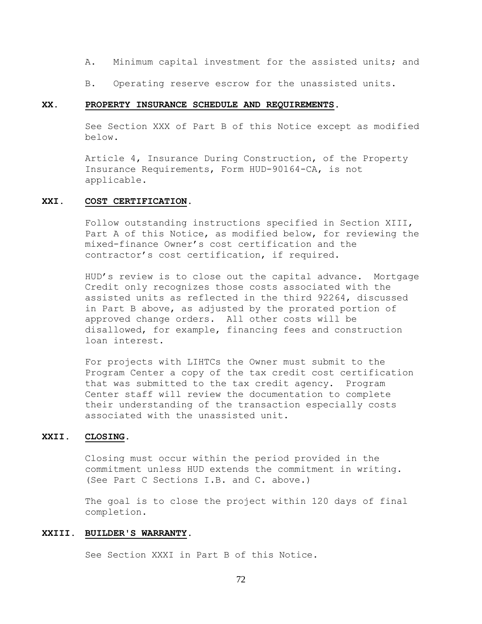- A. Minimum capital investment for the assisted units; and
- B. Operating reserve escrow for the unassisted units.

## **XX. PROPERTY INSURANCE SCHEDULE AND REQUIREMENTS.**

See Section XXX of Part B of this Notice except as modified below.

Article 4, Insurance During Construction, of the Property Insurance Requirements, Form HUD-90164-CA, is not applicable.

#### **XXI. COST CERTIFICATION.**

Follow outstanding instructions specified in Section XIII, Part A of this Notice, as modified below, for reviewing the mixed-finance Owner's cost certification and the contractor's cost certification, if required.

HUD's review is to close out the capital advance. Mortgage Credit only recognizes those costs associated with the assisted units as reflected in the third 92264, discussed in Part B above, as adjusted by the prorated portion of approved change orders. All other costs will be disallowed, for example, financing fees and construction loan interest.

For projects with LIHTCs the Owner must submit to the Program Center a copy of the tax credit cost certification that was submitted to the tax credit agency. Program Center staff will review the documentation to complete their understanding of the transaction especially costs associated with the unassisted unit.

### **XXII. CLOSING.**

Closing must occur within the period provided in the commitment unless HUD extends the commitment in writing. (See Part C Sections I.B. and C. above.)

The goal is to close the project within 120 days of final completion.

## **XXIII. BUILDER'S WARRANTY.**

See Section XXXI in Part B of this Notice.